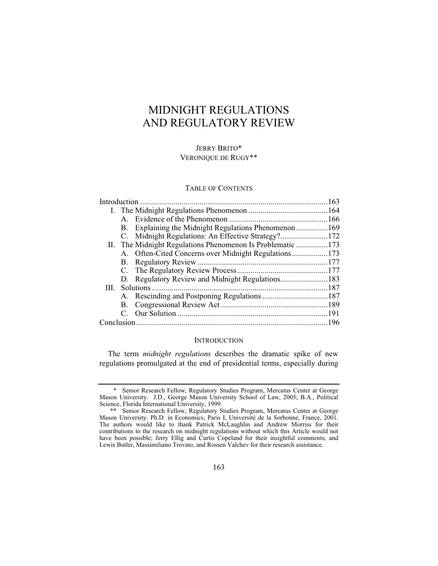# MIDNIGHT REGULATIONS AND REGULATORY REVIEW

# JERRY BRITO\* VERONIQUE DE RUGY\*\*

### TABLE OF CONTENTS

|  | B. |                                                            |  |  |
|--|----|------------------------------------------------------------|--|--|
|  |    | C. Midnight Regulations: An Effective Strategy?172         |  |  |
|  |    | II. The Midnight Regulations Phenomenon Is Problematic 173 |  |  |
|  |    | A. Often-Cited Concerns over Midnight Regulations173       |  |  |
|  | B. |                                                            |  |  |
|  |    |                                                            |  |  |
|  |    | D. Regulatory Review and Midnight Regulations183           |  |  |
|  |    |                                                            |  |  |
|  |    |                                                            |  |  |
|  |    |                                                            |  |  |
|  |    |                                                            |  |  |
|  |    |                                                            |  |  |
|  |    |                                                            |  |  |

### **INTRODUCTION**

The term *midnight regulations* describes the dramatic spike of new regulations promulgated at the end of presidential terms, especially during

 <sup>\*</sup> Senior Research Fellow, Regulatory Studies Program, Mercatus Center at George Mason University. J.D., George Mason University School of Law, 2005; B.A., Political Science, Florida International University, 1999.

 <sup>\*\*</sup> Senior Research Fellow, Regulatory Studies Program, Mercatus Center at George Mason University. Ph.D. in Economics, Paris I, Université de la Sorbonne, France, 2001. The authors would like to thank Patrick McLaughlin and Andrew Morriss for their contributions to the research on midnight regulations without which this Article would not have been possible; Jerry Ellig and Curtis Copeland for their insightful comments; and Lewis Butler, Massimiliano Trovato, and Rossen Valchev for their research assistance.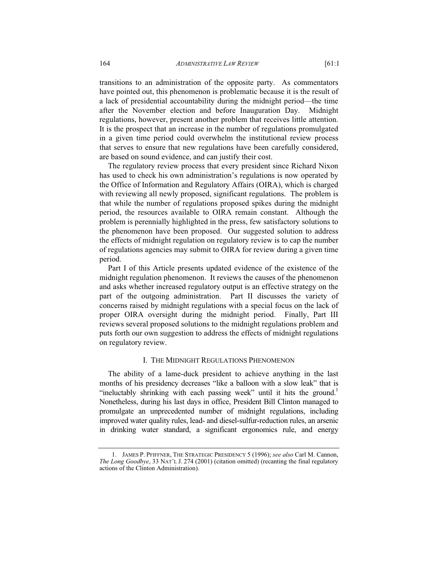transitions to an administration of the opposite party. As commentators have pointed out, this phenomenon is problematic because it is the result of a lack of presidential accountability during the midnight period—the time after the November election and before Inauguration Day. Midnight regulations, however, present another problem that receives little attention. It is the prospect that an increase in the number of regulations promulgated in a given time period could overwhelm the institutional review process that serves to ensure that new regulations have been carefully considered, are based on sound evidence, and can justify their cost.

The regulatory review process that every president since Richard Nixon has used to check his own administration's regulations is now operated by the Office of Information and Regulatory Affairs (OIRA), which is charged with reviewing all newly proposed, significant regulations. The problem is that while the number of regulations proposed spikes during the midnight period, the resources available to OIRA remain constant. Although the problem is perennially highlighted in the press, few satisfactory solutions to the phenomenon have been proposed. Our suggested solution to address the effects of midnight regulation on regulatory review is to cap the number of regulations agencies may submit to OIRA for review during a given time period.

Part I of this Article presents updated evidence of the existence of the midnight regulation phenomenon. It reviews the causes of the phenomenon and asks whether increased regulatory output is an effective strategy on the part of the outgoing administration. Part II discusses the variety of concerns raised by midnight regulations with a special focus on the lack of proper OIRA oversight during the midnight period. Finally, Part III reviews several proposed solutions to the midnight regulations problem and puts forth our own suggestion to address the effects of midnight regulations on regulatory review.

### I. THE MIDNIGHT REGULATIONS PHENOMENON

The ability of a lame-duck president to achieve anything in the last months of his presidency decreases "like a balloon with a slow leak" that is "ineluctably shrinking with each passing week" until it hits the ground.<sup>1</sup> Nonetheless, during his last days in office, President Bill Clinton managed to promulgate an unprecedented number of midnight regulations, including improved water quality rules, lead- and diesel-sulfur-reduction rules, an arsenic in drinking water standard, a significant ergonomics rule, and energy

 <sup>1.</sup> JAMES P. PFIFFNER, THE STRATEGIC PRESIDENCY 5 (1996); *see also* Carl M. Cannon, *The Long Goodbye*, 33 NAT'L J. 274 (2001) (citation omitted) (recanting the final regulatory actions of the Clinton Administration).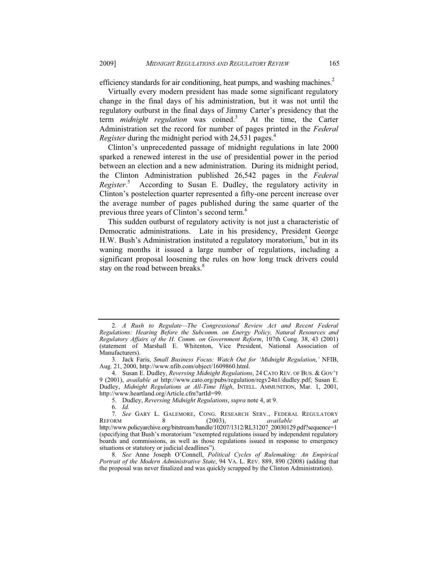efficiency standards for air conditioning, heat pumps, and washing machines.<sup>2</sup>

Virtually every modern president has made some significant regulatory change in the final days of his administration, but it was not until the regulatory outburst in the final days of Jimmy Carter's presidency that the term *midnight regulation* was coined.<sup>3</sup> At the time, the Carter Administration set the record for number of pages printed in the *Federal Register* during the midnight period with 24,531 pages.<sup>4</sup>

Clinton's unprecedented passage of midnight regulations in late 2000 sparked a renewed interest in the use of presidential power in the period between an election and a new administration. During its midnight period, the Clinton Administration published 26,542 pages in the *Federal Register*. 5 According to Susan E. Dudley, the regulatory activity in Clinton's postelection quarter represented a fifty-one percent increase over the average number of pages published during the same quarter of the previous three years of Clinton's second term.<sup>6</sup>

This sudden outburst of regulatory activity is not just a characteristic of Democratic administrations. Late in his presidency, President George H.W. Bush's Administration instituted a regulatory moratorium,<sup>7</sup> but in its waning months it issued a large number of regulations, including a significant proposal loosening the rules on how long truck drivers could stay on the road between breaks.<sup>8</sup>

<sup>2</sup>*. A Rush to Regulate—The Congressional Review Act and Recent Federal Regulations: Hearing Before the Subcomm. on Energy Policy, Natural Resources and Regulatory Affairs of the H. Comm. on Government Reform*, 107th Cong. 38, 43 (2001) (statement of Marshall E. Whitenton, Vice President, National Association of Manufacturers).

<sup>3</sup>*.* Jack Faris, *Small Business Focus: Watch Out for 'Midnight Regulation*,*'* NFIB, Aug. 21, 2000, http://www.nfib.com/object/1609860.html.

 <sup>4.</sup> Susan E. Dudley, *Reversing Midnight Regulations*, 24 CATO REV. OF BUS.&GOV'T 9 (2001), *available at* http://www.cato.org/pubs/regulation/regv24n1/dudley.pdf; Susan E. Dudley, *Midnight Regulations at All-Time High*, INTELL. AMMUNITION, Mar. 1, 2001, http://www.heartland.org/Article.cfm?artId=99.

 <sup>5.</sup> Dudley, *Reversing Midnight Regulations*, *supra* note 4, at 9 .

<sup>6</sup>*. Id.*

<sup>7</sup>*. See* GARY L. GALEMORE, CONG. RESEARCH SERV., FEDERAL REGULATORY REFORM 8 (2003), *available at*  http://www.policyarchive.org/bitstream/handle/10207/1312/RL31207\_20030129.pdf?sequence=1 (specifying that Bush's moratorium "exempted regulations issued by independent regulatory boards and commissions, as well as those regulations issued in response to emergency situations or statutory or judicial deadlines").

<sup>8</sup>*. See* Anne Joseph O'Connell, *Political Cycles of Rulemaking: An Empirical Portrait of the Modern Administrative State*, 94 VA. L. REV. 889, 890 (2008) (adding that the proposal was never finalized and was quickly scrapped by the Clinton Administration).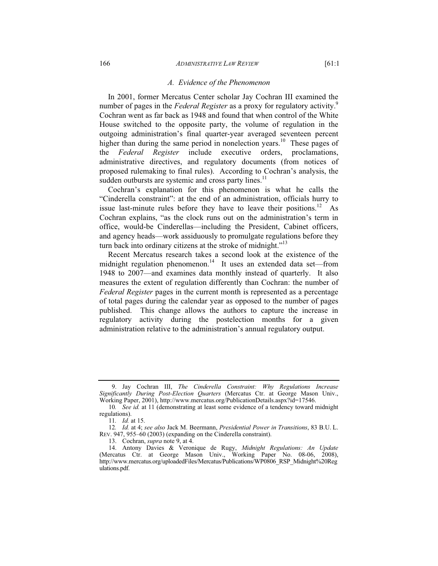#### *A. Evidence of the Phenomenon*

In 2001, former Mercatus Center scholar Jay Cochran III examined the number of pages in the *Federal Register* as a proxy for regulatory activity.<sup>9</sup> Cochran went as far back as 1948 and found that when control of the White House switched to the opposite party, the volume of regulation in the outgoing administration's final quarter-year averaged seventeen percent higher than during the same period in nonelection years.<sup>10</sup> These pages of the *Federal Register* include executive orders, proclamations, administrative directives, and regulatory documents (from notices of proposed rulemaking to final rules). According to Cochran's analysis, the sudden outbursts are systemic and cross party lines.<sup>11</sup>

Cochran's explanation for this phenomenon is what he calls the "Cinderella constraint": at the end of an administration, officials hurry to issue last-minute rules before they have to leave their positions.<sup>12</sup> As Cochran explains, "as the clock runs out on the administration's term in office, would-be Cinderellas—including the President, Cabinet officers, and agency heads—work assiduously to promulgate regulations before they turn back into ordinary citizens at the stroke of midnight."<sup>13</sup>

Recent Mercatus research takes a second look at the existence of the midnight regulation phenomenon.<sup>14</sup> It uses an extended data set—from 1948 to 2007—and examines data monthly instead of quarterly. It also measures the extent of regulation differently than Cochran: the number of *Federal Register* pages in the current month is represented as a percentage of total pages during the calendar year as opposed to the number of pages published. This change allows the authors to capture the increase in regulatory activity during the postelection months for a given administration relative to the administration's annual regulatory output.

 <sup>9.</sup> Jay Cochran III, *The Cinderella Constraint: Why Regulations Increase Significantly During Post-Election Quarters* (Mercatus Ctr. at George Mason Univ., Working Paper, 2001), http://www.mercatus.org/PublicationDetails.aspx?id=17546.

<sup>10</sup>*. See id.* at 11 (demonstrating at least some evidence of a tendency toward midnight regulations).

<sup>11</sup>*. Id.* at 15.

<sup>12</sup>*. Id.* at 4; *see also* Jack M. Beermann, *Presidential Power in Transitions*, 83 B.U. L. REV. 947, 955–60 (2003) (expanding on the Cinderella constraint).

 <sup>13.</sup> Cochran, *supra* note 9, at 4.

 <sup>14.</sup> Antony Davies & Veronique de Rugy, *Midnight Regulations: An Update* (Mercatus Ctr. at George Mason Univ., Working Paper No. 08-06, 2008), http://www.mercatus.org/uploadedFiles/Mercatus/Publications/WP0806\_RSP\_Midnight%20Reg ulations.pdf.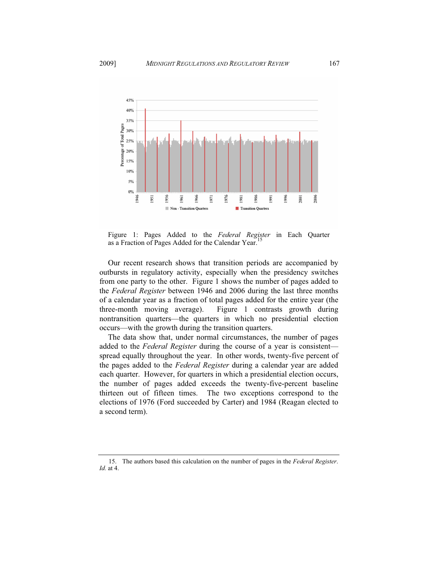

Figure 1: Pages Added to the *Federal Register* in Each Quarter as a Fraction of Pages Added for the Calendar Year.

Our recent research shows that transition periods are accompanied by outbursts in regulatory activity, especially when the presidency switches from one party to the other. Figure 1 shows the number of pages added to the *Federal Register* between 1946 and 2006 during the last three months of a calendar year as a fraction of total pages added for the entire year (the three-month moving average). Figure 1 contrasts growth during nontransition quarters—the quarters in which no presidential election occurs—with the growth during the transition quarters.

The data show that, under normal circumstances, the number of pages added to the *Federal Register* during the course of a year is consistent spread equally throughout the year. In other words, twenty-five percent of the pages added to the *Federal Register* during a calendar year are added each quarter. However, for quarters in which a presidential election occurs, the number of pages added exceeds the twenty-five-percent baseline thirteen out of fifteen times. The two exceptions correspond to the elections of 1976 (Ford succeeded by Carter) and 1984 (Reagan elected to a second term).

 <sup>15.</sup> The authors based this calculation on the number of pages in the *Federal Register*. *Id.* at 4.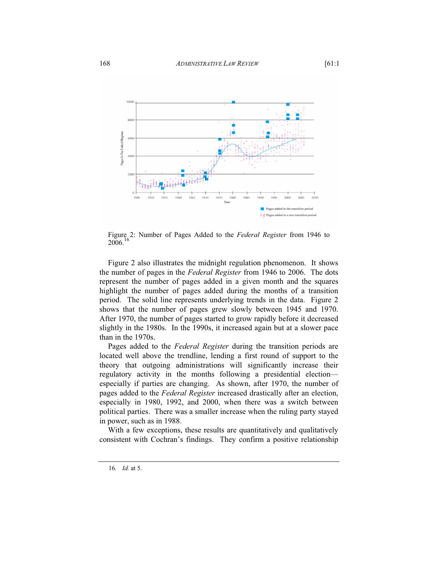

Figure 2: Number of Pages Added to the *Federal Register* from 1946 to 2006.16

Figure 2 also illustrates the midnight regulation phenomenon. It shows the number of pages in the *Federal Register* from 1946 to 2006. The dots represent the number of pages added in a given month and the squares highlight the number of pages added during the months of a transition period. The solid line represents underlying trends in the data. Figure 2 shows that the number of pages grew slowly between 1945 and 1970. After 1970, the number of pages started to grow rapidly before it decreased slightly in the 1980s. In the 1990s, it increased again but at a slower pace than in the 1970s.

Pages added to the *Federal Register* during the transition periods are located well above the trendline, lending a first round of support to the theory that outgoing administrations will significantly increase their regulatory activity in the months following a presidential election especially if parties are changing. As shown, after 1970, the number of pages added to the *Federal Register* increased drastically after an election, especially in 1980, 1992, and 2000, when there was a switch between political parties. There was a smaller increase when the ruling party stayed in power, such as in 1988.

With a few exceptions, these results are quantitatively and qualitatively consistent with Cochran's findings. They confirm a positive relationship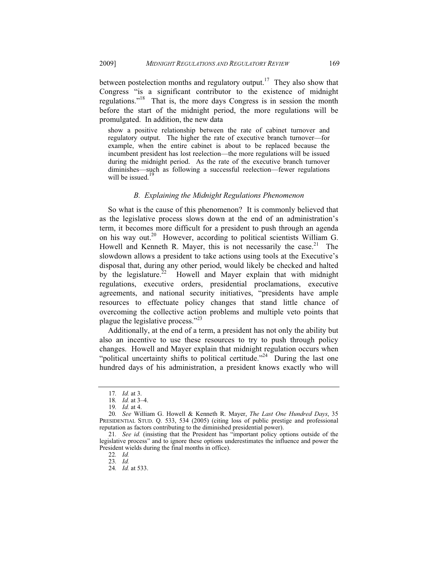between postelection months and regulatory output.<sup>17</sup> They also show that Congress "is a significant contributor to the existence of midnight regulations."18 That is, the more days Congress is in session the month before the start of the midnight period, the more regulations will be promulgated. In addition, the new data

show a positive relationship between the rate of cabinet turnover and regulatory output. The higher the rate of executive branch turnover—for example, when the entire cabinet is about to be replaced because the incumbent president has lost reelection—the more regulations will be issued during the midnight period. As the rate of the executive branch turnover diminishes—such as following a successful reelection—fewer regulations will be issued.<sup>19</sup>

### *B. Explaining the Midnight Regulations Phenomenon*

So what is the cause of this phenomenon? It is commonly believed that as the legislative process slows down at the end of an administration's term, it becomes more difficult for a president to push through an agenda on his way out.<sup>20</sup> However, according to political scientists William G. Howell and Kenneth R. Mayer, this is not necessarily the case.<sup>21</sup> The slowdown allows a president to take actions using tools at the Executive's disposal that, during any other period, would likely be checked and halted by the legislature.<sup>22</sup> Howell and Mayer explain that with midnight regulations, executive orders, presidential proclamations, executive agreements, and national security initiatives, "presidents have ample resources to effectuate policy changes that stand little chance of overcoming the collective action problems and multiple veto points that plague the legislative process."<sup>23</sup>

Additionally, at the end of a term, a president has not only the ability but also an incentive to use these resources to try to push through policy changes. Howell and Mayer explain that midnight regulation occurs when "political uncertainty shifts to political certitude."<sup>24</sup> During the last one hundred days of his administration, a president knows exactly who will

<sup>17</sup>*. Id.* at 3.

<sup>18</sup>*. Id.* at 3–4.

<sup>19</sup>*. Id.* at 4.

<sup>20</sup>*. See* William G. Howell & Kenneth R. Mayer, *The Last One Hundred Days*, 35 PRESIDENTIAL STUD. Q. 533, 534 (2005) (citing loss of public prestige and professional reputation as factors contributing to the diminished presidential power).

<sup>21</sup>*. See id.* (insisting that the President has "important policy options outside of the legislative process" and to ignore these options underestimates the influence and power the President wields during the final months in office).

<sup>22</sup>*. Id.*

<sup>23</sup>*. Id.*

<sup>24</sup>*. Id.* at 533.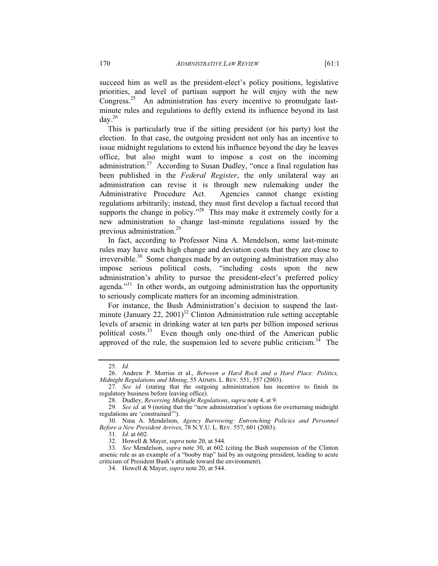succeed him as well as the president-elect's policy positions, legislative priorities, and level of partisan support he will enjoy with the new Congress.<sup>25</sup> An administration has every incentive to promulgate lastminute rules and regulations to deftly extend its influence beyond its last day.26

This is particularly true if the sitting president (or his party) lost the election. In that case, the outgoing president not only has an incentive to issue midnight regulations to extend his influence beyond the day he leaves office, but also might want to impose a cost on the incoming administration.<sup>27</sup> According to Susan Dudley, "once a final regulation has been published in the *Federal Register*, the only unilateral way an administration can revise it is through new rulemaking under the Administrative Procedure Act. Agencies cannot change existing regulations arbitrarily; instead, they must first develop a factual record that supports the change in policy."<sup>28</sup> This may make it extremely costly for a new administration to change last-minute regulations issued by the previous administration.<sup>29</sup>

In fact, according to Professor Nina A. Mendelson, some last-minute rules may have such high change and deviation costs that they are close to irreversible.<sup>30</sup> Some changes made by an outgoing administration may also impose serious political costs, "including costs upon the new administration's ability to pursue the president-elect's preferred policy agenda."<sup>31</sup> In other words, an outgoing administration has the opportunity to seriously complicate matters for an incoming administration.

For instance, the Bush Administration's decision to suspend the lastminute (January 22, 2001)<sup>32</sup> Clinton Administration rule setting acceptable levels of arsenic in drinking water at ten parts per billion imposed serious political costs.<sup>33</sup> Even though only one-third of the American public approved of the rule, the suspension led to severe public criticism.<sup>34</sup> The

<sup>25</sup>*. Id.*

 <sup>26.</sup> Andrew P. Morriss et al., *Between a Hard Rock and a Hard Place: Politics, Midnight Regulations and Mining*, 55 ADMIN. L. REV. 551, 557 (2003).

<sup>27</sup>*. See id.* (stating that the outgoing administration has incentive to finish its regulatory business before leaving office).

 <sup>28.</sup> Dudley, *Reversing Midnight Regulations*, *supra* note 4, at 9.

<sup>29</sup>*. See id.* at 9 (noting that the "new administration's options for overturning midnight regulations are 'constrained'").

 <sup>30.</sup> Nina A. Mendelson, *Agency Burrowing: Entrenching Policies and Personnel Before a New President Arrives*, 78 N.Y.U. L. REV. 557, 601 (2003).

<sup>31</sup>*. Id.* at 602.

 <sup>32.</sup> Howell & Mayer, *supra* note 20, at 544.

<sup>33</sup>*. See* Mendelson, *supra* note 30, at 602 (citing the Bush suspension of the Clinton arsenic rule as an example of a "booby trap" laid by an outgoing president, leading to acute criticism of President Bush's attitude toward the environment).

 <sup>34.</sup> Howell & Mayer, *supra* note 20, at 544.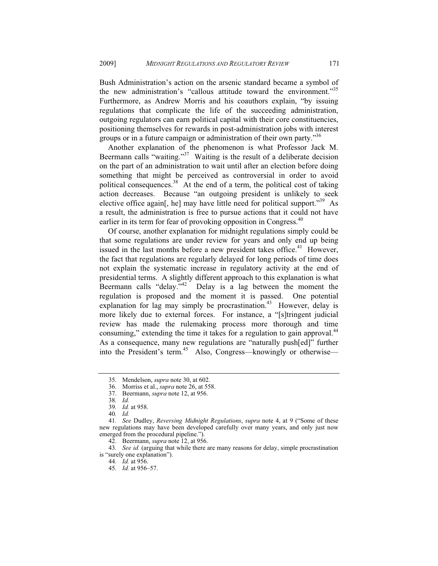Bush Administration's action on the arsenic standard became a symbol of the new administration's "callous attitude toward the environment."<sup>35</sup> Furthermore, as Andrew Morris and his coauthors explain, "by issuing regulations that complicate the life of the succeeding administration, outgoing regulators can earn political capital with their core constituencies, positioning themselves for rewards in post-administration jobs with interest groups or in a future campaign or administration of their own party.<sup>356</sup>

Another explanation of the phenomenon is what Professor Jack M. Beermann calls "waiting."<sup>37</sup> Waiting is the result of a deliberate decision on the part of an administration to wait until after an election before doing something that might be perceived as controversial in order to avoid political consequences.<sup>38</sup> At the end of a term, the political cost of taking action decreases. Because "an outgoing president is unlikely to seek elective office again[, he] may have little need for political support."<sup>39</sup> As a result, the administration is free to pursue actions that it could not have earlier in its term for fear of provoking opposition in Congress.<sup>40</sup>

Of course, another explanation for midnight regulations simply could be that some regulations are under review for years and only end up being issued in the last months before a new president takes office.<sup>41</sup> However, the fact that regulations are regularly delayed for long periods of time does not explain the systematic increase in regulatory activity at the end of presidential terms. A slightly different approach to this explanation is what Beermann calls "delay." $42$  Delay is a lag between the moment the regulation is proposed and the moment it is passed. One potential explanation for lag may simply be procrastination.<sup>43</sup> However, delay is more likely due to external forces. For instance, a "[s]tringent judicial review has made the rulemaking process more thorough and time consuming," extending the time it takes for a regulation to gain approval.<sup>44</sup> As a consequence, many new regulations are "naturally push[ed]" further into the President's term.<sup>45</sup> Also, Congress—knowingly or otherwise—

43*. See id.* (arguing that while there are many reasons for delay, simple procrastination is "surely one explanation").

 <sup>35.</sup> Mendelson, *supra* note 30, at 602.

 <sup>36.</sup> Morriss et al., *supra* note 26, at 558.

 <sup>37.</sup> Beermann, *supra* note 12, at 956.

<sup>38</sup>*. Id.*

<sup>39</sup>*. Id.* at 958.

<sup>40</sup>*. Id.*

<sup>41</sup>*. See* Dudley, *Reversing Midnight Regulations*, *supra* note 4, at 9 ("Some of these new regulations may have been developed carefully over many years, and only just now emerged from the procedural pipeline.").

 <sup>42.</sup> Beermann, *supra* note 12, at 956.

<sup>44</sup>*. Id.* at 956.

<sup>45</sup>*. Id.* at 956–57.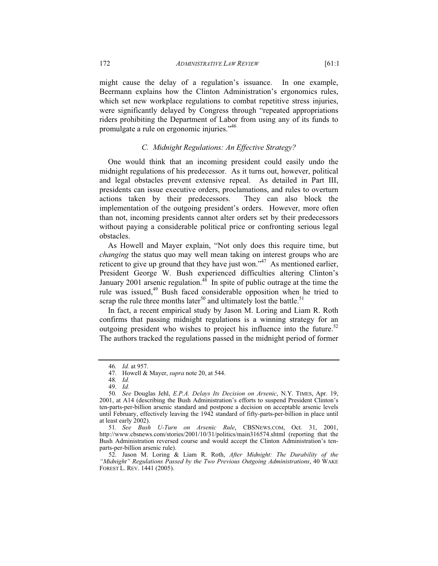might cause the delay of a regulation's issuance. In one example, Beermann explains how the Clinton Administration's ergonomics rules, which set new workplace regulations to combat repetitive stress injuries, were significantly delayed by Congress through "repeated appropriations riders prohibiting the Department of Labor from using any of its funds to promulgate a rule on ergonomic injuries."46

# *C. Midnight Regulations: An Effective Strategy?*

One would think that an incoming president could easily undo the midnight regulations of his predecessor. As it turns out, however, political and legal obstacles prevent extensive repeal. As detailed in Part III, presidents can issue executive orders, proclamations, and rules to overturn actions taken by their predecessors. They can also block the implementation of the outgoing president's orders. However, more often than not, incoming presidents cannot alter orders set by their predecessors without paying a considerable political price or confronting serious legal obstacles.

As Howell and Mayer explain, "Not only does this require time, but *changing* the status quo may well mean taking on interest groups who are reticent to give up ground that they have just won."<sup>47</sup> As mentioned earlier, President George W. Bush experienced difficulties altering Clinton's January 2001 arsenic regulation.<sup>48</sup> In spite of public outrage at the time the rule was issued, $49$  Bush faced considerable opposition when he tried to scrap the rule three months later<sup>50</sup> and ultimately lost the battle.<sup>51</sup>

In fact, a recent empirical study by Jason M. Loring and Liam R. Roth confirms that passing midnight regulations is a winning strategy for an outgoing president who wishes to project his influence into the future.<sup>52</sup> The authors tracked the regulations passed in the midnight period of former

<sup>46</sup>*. Id.* at 957.

 <sup>47.</sup> Howell & Mayer, *supra* note 20, at 544.

<sup>48</sup>*. Id.*

 <sup>49.</sup> *Id.*

<sup>50</sup>*. See* Douglas Jehl, *E.P.A. Delays Its Decision on Arsenic*, N.Y. TIMES, Apr. 19, 2001, at A14 (describing the Bush Administration's efforts to suspend President Clinton's ten-parts-per-billion arsenic standard and postpone a decision on acceptable arsenic levels until February, effectively leaving the 1942 standard of fifty-parts-per-billion in place until at least early 2002).

<sup>51</sup>*. See Bush U-Turn on Arsenic Rule*, CBSNEWS.COM, Oct. 31, 2001, http://www.cbsnews.com/stories/2001/10/31/politics/main316574.shtml (reporting that the Bush Administration reversed course and would accept the Clinton Administration's tenparts-per-billion arsenic rule).

 <sup>52.</sup> Jason M. Loring & Liam R. Roth, *After Midnight: The Durability of the "Midnight" Regulations Passed by the Two Previous Outgoing Administrations*, 40 WAKE FOREST L. REV. 1441 (2005).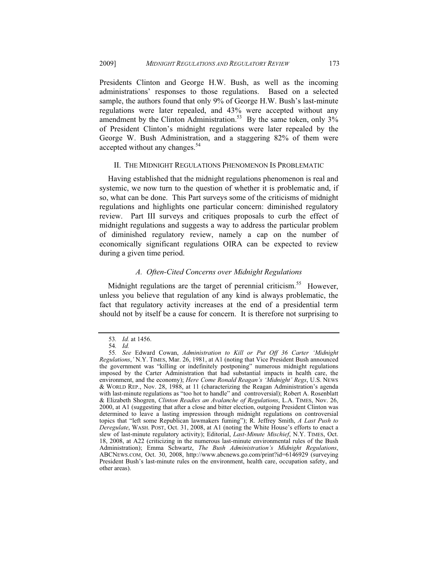Presidents Clinton and George H.W. Bush, as well as the incoming administrations' responses to those regulations. Based on a selected sample, the authors found that only 9% of George H.W. Bush's last-minute regulations were later repealed, and 43% were accepted without any amendment by the Clinton Administration.<sup>53</sup> By the same token, only  $3\%$ of President Clinton's midnight regulations were later repealed by the George W. Bush Administration, and a staggering 82% of them were accepted without any changes.<sup>54</sup>

### II. THE MIDNIGHT REGULATIONS PHENOMENON IS PROBLEMATIC

Having established that the midnight regulations phenomenon is real and systemic, we now turn to the question of whether it is problematic and, if so, what can be done. This Part surveys some of the criticisms of midnight regulations and highlights one particular concern: diminished regulatory review. Part III surveys and critiques proposals to curb the effect of midnight regulations and suggests a way to address the particular problem of diminished regulatory review, namely a cap on the number of economically significant regulations OIRA can be expected to review during a given time period.

# *A. Often-Cited Concerns over Midnight Regulations*

Midnight regulations are the target of perennial criticism.<sup>55</sup> However, unless you believe that regulation of any kind is always problematic, the fact that regulatory activity increases at the end of a presidential term should not by itself be a cause for concern. It is therefore not surprising to

<sup>53</sup>*. Id.* at 1456.

<sup>54</sup>*. Id.*

<sup>55</sup>*. See* Edward Cowan, *Administration to Kill or Put Off 36 Carter 'Midnight Regulations*,*'* N.Y. TIMES, Mar. 26, 1981, at A1 (noting that Vice President Bush announced the government was "killing or indefinitely postponing" numerous midnight regulations imposed by the Carter Administration that had substantial impacts in health care, the environment, and the economy); *Here Come Ronald Reagan's 'Midnight' Regs*, U.S. NEWS & WORLD REP., Nov. 28, 1988, at 11 (characterizing the Reagan Administration's agenda with last-minute regulations as "too hot to handle" and controversial); Robert A. Rosenblatt & Elizabeth Shogren, *Clinton Readies an Avalanche of Regulations*, L.A. TIMES, Nov. 26, 2000, at A1 (suggesting that after a close and bitter election, outgoing President Clinton was determined to leave a lasting impression through midnight regulations on controversial topics that "left some Republican lawmakers fuming"); R. Jeffrey Smith, *A Last Push to Deregulate*, WASH. POST, Oct. 31, 2008, at A1 (noting the White House's efforts to enact a slew of last-minute regulatory activity); Editorial, *Last-Minute Mischief*, N.Y. TIMES, Oct. 18, 2008, at A22 (criticizing in the numerous last-minute environmental rules of the Bush Administration); Emma Schwartz, *The Bush Administration's Midnight Regulations*, ABCNEWS.COM, Oct. 30, 2008, http://www.abcnews.go.com/print?id=6146929 (surveying President Bush's last-minute rules on the environment, health care, occupation safety, and other areas).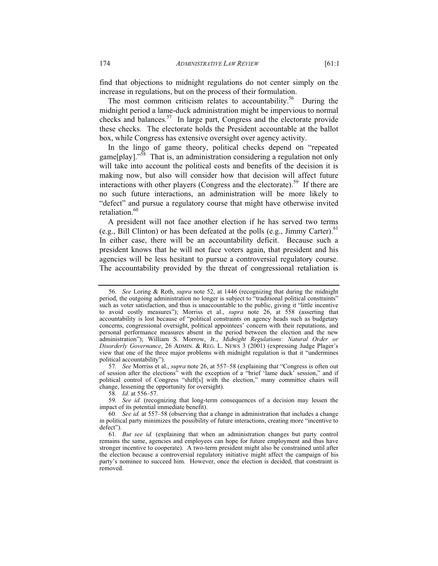find that objections to midnight regulations do not center simply on the increase in regulations, but on the process of their formulation.

The most common criticism relates to accountability.<sup>56</sup> During the midnight period a lame-duck administration might be impervious to normal checks and balances.57 In large part, Congress and the electorate provide these checks. The electorate holds the President accountable at the ballot box, while Congress has extensive oversight over agency activity.

In the lingo of game theory, political checks depend on "repeated game[play]."<sup>58</sup> That is, an administration considering a regulation not only will take into account the political costs and benefits of the decision it is making now, but also will consider how that decision will affect future interactions with other players (Congress and the electorate).<sup>59</sup> If there are no such future interactions, an administration will be more likely to "defect" and pursue a regulatory course that might have otherwise invited retaliation.<sup>60</sup>

A president will not face another election if he has served two terms (e.g., Bill Clinton) or has been defeated at the polls (e.g., Jimmy Carter). $61$ In either case, there will be an accountability deficit. Because such a president knows that he will not face voters again, that president and his agencies will be less hesitant to pursue a controversial regulatory course. The accountability provided by the threat of congressional retaliation is

57*. See* Morriss et al., *supra* note 26, at 557–58 (explaining that "Congress is often out of session after the elections" with the exception of a "brief 'lame duck' session," and if political control of Congress "shift[s] with the election," many committee chairs will change, lessening the opportunity for oversight).

58*. Id*. at 556–57.

59*. See id.* (recognizing that long-term consequences of a decision may lessen the impact of its potential immediate benefit).

<sup>56</sup>*. See* Loring & Roth, *supra* note 52, at 1446 (recognizing that during the midnight period, the outgoing administration no longer is subject to "traditional political constraints" such as voter satisfaction, and thus is unaccountable to the public, giving it "little incentive to avoid costly measures"); Morriss et al., *supra* note 26, at 558 (asserting that accountability is lost because of "political constraints on agency heads such as budgetary concerns, congressional oversight, political appointees' concern with their reputations, and personal performance measures absent in the period between the election and the new administration"); William S. Morrow, Jr., *Midnight Regulations: Natural Order or Disorderly Governance*, 26 ADMIN.&REG. L. NEWS 3 (2001) (expressing Judge Plager's view that one of the three major problems with midnight regulation is that it "undermines political accountability").

<sup>60</sup>*. See id.* at 557–58 (observing that a change in administration that includes a change in political party minimizes the possibility of future interactions, creating more "incentive to defect").

<sup>61</sup>*. But see id.* (explaining that when an administration changes but party control remains the same, agencies and employees can hope for future employment and thus have stronger incentive to cooperate). A two-term president might also be constrained until after the election because a controversial regulatory initiative might affect the campaign of his party's nominee to succeed him. However, once the election is decided, that constraint is removed.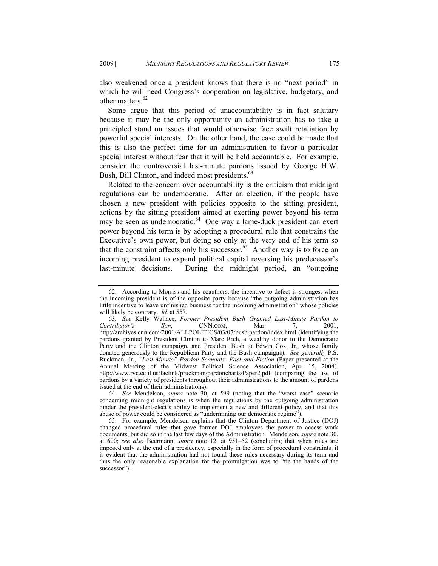also weakened once a president knows that there is no "next period" in which he will need Congress's cooperation on legislative, budgetary, and other matters.<sup>62</sup>

Some argue that this period of unaccountability is in fact salutary because it may be the only opportunity an administration has to take a principled stand on issues that would otherwise face swift retaliation by powerful special interests. On the other hand, the case could be made that this is also the perfect time for an administration to favor a particular special interest without fear that it will be held accountable. For example, consider the controversial last-minute pardons issued by George H.W. Bush, Bill Clinton, and indeed most presidents.<sup>63</sup>

Related to the concern over accountability is the criticism that midnight regulations can be undemocratic. After an election, if the people have chosen a new president with policies opposite to the sitting president, actions by the sitting president aimed at exerting power beyond his term may be seen as undemocratic.<sup>64</sup> One way a lame-duck president can exert power beyond his term is by adopting a procedural rule that constrains the Executive's own power, but doing so only at the very end of his term so that the constraint affects only his successor.<sup>65</sup> Another way is to force an incoming president to expend political capital reversing his predecessor's last-minute decisions. During the midnight period, an "outgoing

 <sup>62.</sup> According to Morriss and his coauthors, the incentive to defect is strongest when the incoming president is of the opposite party because "the outgoing administration has little incentive to leave unfinished business for the incoming administration" whose policies will likely be contrary. *Id.* at 557.

<sup>63</sup>*. See* Kelly Wallace, *Former President Bush Granted Last-Minute Pardon to Contributor's Son*, CNN.COM, Mar. 7, 2001, http://archives.cnn.com/2001/ALLPOLITICS/03/07/bush.pardon/index.html (identifying the pardons granted by President Clinton to Marc Rich, a wealthy donor to the Democratic Party and the Clinton campaign, and President Bush to Edwin Cox, Jr., whose family donated generously to the Republican Party and the Bush campaigns). *See generally* P.S. Ruckman, Jr., *"Last-Minute" Pardon Scandals: Fact and Fiction* (Paper presented at the Annual Meeting of the Midwest Political Science Association, Apr. 15, 2004), http://www.rvc.cc.il.us/faclink/pruckman/pardoncharts/Paper2.pdf (comparing the use of pardons by a variety of presidents throughout their administrations to the amount of pardons issued at the end of their administrations).

<sup>64</sup>*. See* Mendelson, *supra* note 30, at 599 (noting that the "worst case" scenario concerning midnight regulations is when the regulations by the outgoing administration hinder the president-elect's ability to implement a new and different policy, and that this abuse of power could be considered as "undermining our democratic regime").

 <sup>65.</sup> For example, Mendelson explains that the Clinton Department of Justice (DOJ) changed procedural rules that gave former DOJ employees the power to access work documents, but did so in the last few days of the Administration. Mendelson, *supra* note 30, at 600; *see also* Beermann, *supra* note 12, at 951–52 (concluding that when rules are imposed only at the end of a presidency, especially in the form of procedural constraints, it is evident that the administration had not found these rules necessary during its term and thus the only reasonable explanation for the promulgation was to "tie the hands of the successor").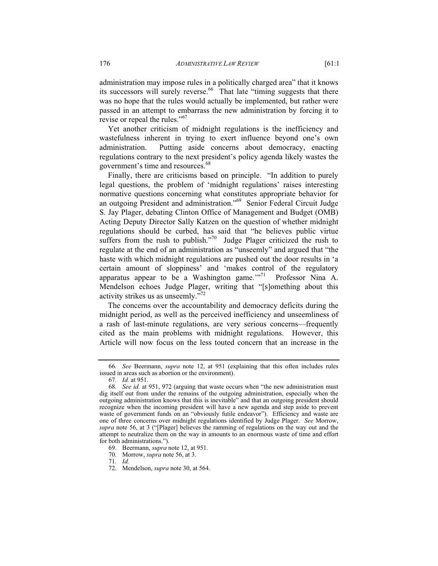administration may impose rules in a politically charged area" that it knows its successors will surely reverse.<sup>66</sup> That late "timing suggests that there was no hope that the rules would actually be implemented, but rather were passed in an attempt to embarrass the new administration by forcing it to revise or repeal the rules."<sup>67</sup>

Yet another criticism of midnight regulations is the inefficiency and wastefulness inherent in trying to exert influence beyond one's own administration. Putting aside concerns about democracy, enacting regulations contrary to the next president's policy agenda likely wastes the government's time and resources.<sup>68</sup>

Finally, there are criticisms based on principle. "In addition to purely legal questions, the problem of 'midnight regulations' raises interesting normative questions concerning what constitutes appropriate behavior for an outgoing President and administration."<sup>69</sup> Senior Federal Circuit Judge S. Jay Plager, debating Clinton Office of Management and Budget (OMB) Acting Deputy Director Sally Katzen on the question of whether midnight regulations should be curbed, has said that "he believes public virtue suffers from the rush to publish."<sup>70</sup> Judge Plager criticized the rush to regulate at the end of an administration as "unseemly" and argued that "the haste with which midnight regulations are pushed out the door results in 'a certain amount of sloppiness' and 'makes control of the regulatory apparatus appear to be a Washington game. $1^{17}$  Professor Nina A. Mendelson echoes Judge Plager, writing that "[s]omething about this activity strikes us as unseemly."72

The concerns over the accountability and democracy deficits during the midnight period, as well as the perceived inefficiency and unseemliness of a rash of last-minute regulations, are very serious concerns—frequently cited as the main problems with midnight regulations. However, this Article will now focus on the less touted concern that an increase in the

71*. Id.*

<sup>66</sup>*. See* Beermann, *supra* note 12, at 951 (explaining that this often includes rules issued in areas such as abortion or the environment).

<sup>67</sup>*. Id.* at 951.

<sup>68</sup>*. See id.* at 951, 972 (arguing that waste occurs when "the new administration must dig itself out from under the remains of the outgoing administration, especially when the outgoing administration knows that this is inevitable" and that an outgoing president should recognize when the incoming president will have a new agenda and step aside to prevent waste of government funds on an "obviously futile endeavor"). Efficiency and waste are one of three concerns over midnight regulations identified by Judge Plager. *See* Morrow, *supra* note 56, at 3 ("[Plager] believes the ramming of regulations on the way out and the attempt to neutralize them on the way in amounts to an enormous waste of time and effort for both administrations.").

 <sup>69.</sup> Beermann, *supra* note 12, at 951.

 <sup>70.</sup> Morrow, *supra* note 56, at 3.

 <sup>72.</sup> Mendelson, *supra* note 30, at 564.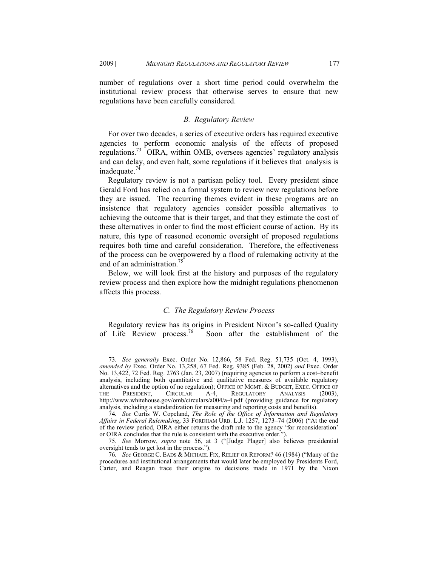number of regulations over a short time period could overwhelm the institutional review process that otherwise serves to ensure that new regulations have been carefully considered.

## *B. Regulatory Review*

For over two decades, a series of executive orders has required executive agencies to perform economic analysis of the effects of proposed regulations.<sup>73</sup> OIRA, within OMB, oversees agencies' regulatory analysis and can delay, and even halt, some regulations if it believes that analysis is inadequate. $74$ 

Regulatory review is not a partisan policy tool. Every president since Gerald Ford has relied on a formal system to review new regulations before they are issued. The recurring themes evident in these programs are an insistence that regulatory agencies consider possible alternatives to achieving the outcome that is their target, and that they estimate the cost of these alternatives in order to find the most efficient course of action. By its nature, this type of reasoned economic oversight of proposed regulations requires both time and careful consideration. Therefore, the effectiveness of the process can be overpowered by a flood of rulemaking activity at the end of an administration.<sup>75</sup>

Below, we will look first at the history and purposes of the regulatory review process and then explore how the midnight regulations phenomenon affects this process.

# *C. The Regulatory Review Process*

Regulatory review has its origins in President Nixon's so-called Quality of Life Review process.<sup>76</sup> Soon after the establishment of the Soon after the establishment of the

<sup>73</sup>*. See generally* Exec. Order No. 12,866, 58 Fed. Reg. 51,735 (Oct. 4, 1993), *amended by* Exec. Order No. 13,258, 67 Fed. Reg. 9385 (Feb. 28, 2002) *and* Exec. Order No. 13,422, 72 Fed. Reg. 2763 (Jan. 23, 2007) (requiring agencies to perform a cost–benefit analysis, including both quantitative and qualitative measures of available regulatory alternatives and the option of no regulation); OFFICE OF MGMT.&BUDGET, EXEC. OFFICE OF THE PRESIDENT, CIRCULAR A-4, REGULATORY ANALYSIS (2003), http://www.whitehouse.gov/omb/circulars/a004/a-4.pdf (providing guidance for regulatory analysis, including a standardization for measuring and reporting costs and benefits).

<sup>74</sup>*. See* Curtis W. Copeland, *The Role of the Office of Information and Regulatory Affairs in Federal Rulemaking*, 33 FORDHAM URB. L.J. 1257, 1273–74 (2006) ("At the end of the review period, OIRA either returns the draft rule to the agency 'for reconsideration' or OIRA concludes that the rule is consistent with the executive order.").

<sup>75</sup>*. See* Morrow, *supra* note 56, at 3 ("[Judge Plager] also believes presidential oversight tends to get lost in the process.").

<sup>76</sup>*. See* GEORGE C. EADS & MICHAEL FIX, RELIEF OR REFORM? 46 (1984) ("Many of the procedures and institutional arrangements that would later be employed by Presidents Ford, Carter, and Reagan trace their origins to decisions made in 1971 by the Nixon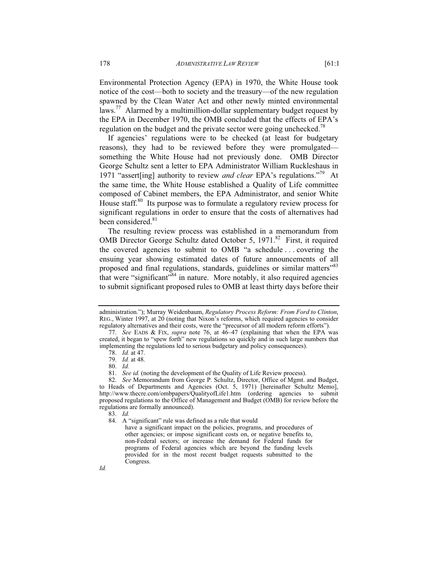Environmental Protection Agency (EPA) in 1970, the White House took notice of the cost—both to society and the treasury—of the new regulation spawned by the Clean Water Act and other newly minted environmental laws.<sup>77</sup> Alarmed by a multimillion-dollar supplementary budget request by the EPA in December 1970, the OMB concluded that the effects of EPA's regulation on the budget and the private sector were going unchecked.<sup>78</sup>

If agencies' regulations were to be checked (at least for budgetary reasons), they had to be reviewed before they were promulgated something the White House had not previously done. OMB Director George Schultz sent a letter to EPA Administrator William Ruckleshaus in 1971 "assert[ing] authority to review *and clear* EPA's regulations."79 At the same time, the White House established a Quality of Life committee composed of Cabinet members, the EPA Administrator, and senior White House staff. $80$  Its purpose was to formulate a regulatory review process for significant regulations in order to ensure that the costs of alternatives had been considered.<sup>81</sup>

The resulting review process was established in a memorandum from OMB Director George Schultz dated October 5, 1971.<sup>82</sup> First, it required the covered agencies to submit to OMB "a schedule . . . covering the ensuing year showing estimated dates of future announcements of all proposed and final regulations, standards, guidelines or similar matters<sup>383</sup> that were "significant"<sup>84</sup> in nature. More notably, it also required agencies to submit significant proposed rules to OMB at least thirty days before their

administration."); Murray Weidenbaum, *Regulatory Process Reform: From Ford to Clinton*, REG., Winter 1997, at 20 (noting that Nixon's reforms, which required agencies to consider regulatory alternatives and their costs, were the "precursor of all modern reform efforts").

<sup>77.</sup> *See* EADS & FIX, *supra* note 76, at 46–47 (explaining that when the EPA was created, it began to "spew forth" new regulations so quickly and in such large numbers that implementing the regulations led to serious budgetary and policy consequences).

<sup>78.</sup> *Id.* at 47.

<sup>79.</sup> *Id.* at 48.

<sup>80.</sup> *Id.*

<sup>81.</sup> *See id.* (noting the development of the Quality of Life Review process).

<sup>82.</sup> *See* Memorandum from George P. Schultz, Director, Office of Mgmt. and Budget, to Heads of Departments and Agencies (Oct. 5, 1971) [hereinafter Schultz Memo], http://www.thecre.com/ombpapers/QualityofLife1.htm (ordering agencies to submit proposed regulations to the Office of Management and Budget (OMB) for review before the regulations are formally announced).

<sup>83.</sup> *Id.*

 <sup>84.</sup> A "significant" rule was defined as a rule that would

have a significant impact on the policies, programs, and procedures of other agencies; or impose significant costs on, or negative benefits to, non-Federal sectors; or increase the demand for Federal funds for programs of Federal agencies which are beyond the funding levels provided for in the most recent budget requests submitted to the Congress.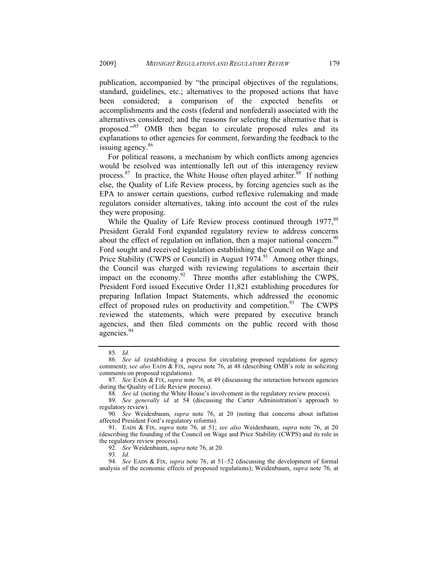publication, accompanied by "the principal objectives of the regulations, standard, guidelines, etc.; alternatives to the proposed actions that have been considered; a comparison of the expected benefits or accomplishments and the costs (federal and nonfederal) associated with the alternatives considered; and the reasons for selecting the alternative that is proposed."<sup>85</sup> OMB then began to circulate proposed rules and its explanations to other agencies for comment, forwarding the feedback to the issuing agency.<sup>86</sup>

For political reasons, a mechanism by which conflicts among agencies would be resolved was intentionally left out of this interagency review process. $87$  In practice, the White House often played arbiter. $88$  If nothing else, the Quality of Life Review process, by forcing agencies such as the EPA to answer certain questions, curbed reflexive rulemaking and made regulators consider alternatives, taking into account the cost of the rules they were proposing.

While the Quality of Life Review process continued through 1977,<sup>89</sup> President Gerald Ford expanded regulatory review to address concerns about the effect of regulation on inflation, then a major national concern.<sup>90</sup> Ford sought and received legislation establishing the Council on Wage and Price Stability (CWPS or Council) in August  $1974<sup>91</sup>$  Among other things, the Council was charged with reviewing regulations to ascertain their impact on the economy. $92$  Three months after establishing the CWPS, President Ford issued Executive Order 11,821 establishing procedures for preparing Inflation Impact Statements, which addressed the economic effect of proposed rules on productivity and competition. $93$  The CWPS reviewed the statements, which were prepared by executive branch agencies, and then filed comments on the public record with those agencies.<sup>94</sup>

92*. See* Weidenbaum, *supra* note 76, at 20.

93*. Id.*

<sup>85</sup>*. Id.*

<sup>86</sup>*. See id.* (establishing a process for circulating proposed regulations for agency comment); *see also* EADS & FIX, *supra* note 76, at 48 (describing OMB's role in soliciting comments on proposed regulations).

<sup>87</sup>*. See* EADS & FIX, *supra* note 76, at 49 (discussing the interaction between agencies during the Quality of Life Review process).

<sup>88</sup>*. See id.* (noting the White House's involvement in the regulatory review process).

<sup>89</sup>*. See generally id.* at 54 (discussing the Carter Administration's approach to regulatory review).

<sup>90</sup>*. See* Weidenbaum, *supra* note 76, at 20 (noting that concerns about inflation affected President Ford's regulatory reforms).

 <sup>91.</sup> EADS & FIX, *supra* note 76, at 51; *see also* Weidenbaum, *supra* note 76, at 20 (describing the founding of the Council on Wage and Price Stability (CWPS) and its role in the regulatory review process).

<sup>94</sup>*. See* EADS & FIX, *supra* note 76, at 51–52 (discussing the development of formal analysis of the economic effects of proposed regulations); Weidenbaum, *supra* note 76, at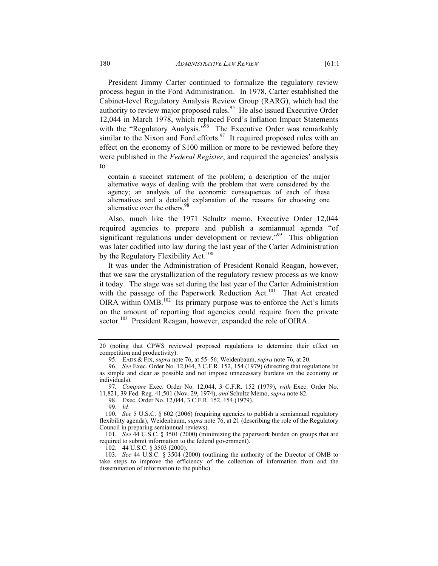President Jimmy Carter continued to formalize the regulatory review process begun in the Ford Administration. In 1978, Carter established the Cabinet-level Regulatory Analysis Review Group (RARG), which had the authority to review major proposed rules.<sup>95</sup> He also issued Executive Order 12,044 in March 1978, which replaced Ford's Inflation Impact Statements with the "Regulatory Analysis."<sup>96</sup> The Executive Order was remarkably similar to the Nixon and Ford efforts. $97$  It required proposed rules with an effect on the economy of \$100 million or more to be reviewed before they were published in the *Federal Register*, and required the agencies' analysis to

contain a succinct statement of the problem; a description of the major alternative ways of dealing with the problem that were considered by the agency; an analysis of the economic consequences of each of these alternatives and a detailed explanation of the reasons for choosing one alternative over the others.<sup>9</sup>

Also, much like the 1971 Schultz memo, Executive Order 12,044 required agencies to prepare and publish a semiannual agenda "of significant regulations under development or review."<sup>99</sup> This obligation was later codified into law during the last year of the Carter Administration by the Regulatory Flexibility Act.<sup>100</sup>

It was under the Administration of President Ronald Reagan, however, that we saw the crystallization of the regulatory review process as we know it today. The stage was set during the last year of the Carter Administration with the passage of the Paperwork Reduction Act.<sup>101</sup> That Act created OIRA within OMB.<sup>102</sup> Its primary purpose was to enforce the Act's limits on the amount of reporting that agencies could require from the private sector.<sup>103</sup> President Reagan, however, expanded the role of OIRA.

99*. Id.*

101*. See* 44 U.S.C. § 3501 (2000) (minimizing the paperwork burden on groups that are required to submit information to the federal government).

102. 44 U.S.C. § 3503 (2000).

103*. See* 44 U.S.C. § 3504 (2000) (outlining the authority of the Director of OMB to take steps to improve the efficiency of the collection of information from and the dissemination of information to the public).

<sup>20 (</sup>noting that CPWS reviewed proposed regulations to determine their effect on competition and productivity).

 <sup>95.</sup> EADS & FIX, *supra* note 76, at 55–56; Weidenbaum, *supra* note 76, at 20.

<sup>96</sup>*. See* Exec. Order No. 12,044, 3 C.F.R. 152, 154 (1979) (directing that regulations be as simple and clear as possible and not impose unnecessary burdens on the economy or individuals).

<sup>97</sup>*. Compare* Exec. Order No. 12,044, 3 C.F.R. 152 (1979), *with* Exec. Order No.

<sup>11,821, 39</sup> Fed. Reg. 41,501 (Nov. 29, 1974), *and* Schultz Memo, *supra* note 82.

<sup>98.</sup> Exec. Order No. 12,044, 3 C.F.R. 152, 154 (1979).

<sup>100</sup>*. See* 5 U.S.C. § 602 (2006) (requiring agencies to publish a semiannual regulatory flexibility agenda); Weidenbaum, *supra* note 76, at 21 (describing the role of the Regulatory Council in preparing semiannual reviews).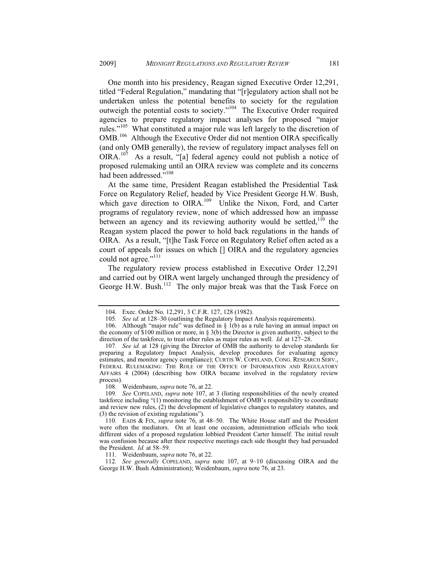One month into his presidency, Reagan signed Executive Order 12,291, titled "Federal Regulation," mandating that "[r]egulatory action shall not be undertaken unless the potential benefits to society for the regulation outweigh the potential costs to society."104 The Executive Order required agencies to prepare regulatory impact analyses for proposed "major rules."<sup>105</sup> What constituted a major rule was left largely to the discretion of OMB.<sup>106</sup> Although the Executive Order did not mention OIRA specifically (and only OMB generally), the review of regulatory impact analyses fell on OIRA.<sup>107</sup> As a result, "[a] federal agency could not publish a notice of proposed rulemaking until an OIRA review was complete and its concerns had been addressed."<sup>108</sup>

At the same time, President Reagan established the Presidential Task Force on Regulatory Relief, headed by Vice President George H.W. Bush, which gave direction to OIRA.<sup>109</sup> Unlike the Nixon, Ford, and Carter programs of regulatory review, none of which addressed how an impasse between an agency and its reviewing authority would be settled,  $110$  the Reagan system placed the power to hold back regulations in the hands of OIRA. As a result, "[t]he Task Force on Regulatory Relief often acted as a court of appeals for issues on which [] OIRA and the regulatory agencies could not agree."<sup>111</sup>

The regulatory review process established in Executive Order 12,291 and carried out by OIRA went largely unchanged through the presidency of George H.W. Bush.<sup>112</sup> The only major break was that the Task Force on

108. Weidenbaum, *supra* note 76, at 22.

111. Weidenbaum, *supra* note 76, at 22.

112*. See generally* COPELAND, *supra* note 107, at 9–10 (discussing OIRA and the George H.W. Bush Administration); Weidenbaum, *supra* note 76, at 23.

 <sup>104.</sup> Exec. Order No. 12,291, 3 C.F.R. 127, 128 (1982).

<sup>105</sup>*. See id.* at 128–30 (outlining the Regulatory Impact Analysis requirements).

<sup>106.</sup> Although "major rule" was defined in  $\S$  1(b) as a rule having an annual impact on the economy of \$100 million or more, in § 3(b) the Director is given authority, subject to the direction of the taskforce, to treat other rules as major rules as well. *Id.* at 127–28.

<sup>107</sup>*. See id.* at 128 (giving the Director of OMB the authority to develop standards for preparing a Regulatory Impact Analysis, develop procedures for evaluating agency estimates, and monitor agency compliance); CURTIS W. COPELAND, CONG. RESEARCH SERV., FEDERAL RULEMAKING: THE ROLE OF THE OFFICE OF INFORMATION AND REGULATORY AFFAIRS 4 (2004) (describing how OIRA became involved in the regulatory review process).

<sup>109</sup>*. See* COPELAND, *supra* note 107, at 3 (listing responsibilities of the newly created taskforce including "(1) monitoring the establishment of OMB's responsibility to coordinate and review new rules, (2) the development of legislative changes to regulatory statutes, and (3) the revision of existing regulations").

 <sup>110.</sup> EADS & FIX, *supra* note 76, at 48–50. The White House staff and the President were often the mediators. On at least one occasion, administration officials who took different sides of a proposed regulation lobbied President Carter himself. The initial result was confusion because after their respective meetings each side thought they had persuaded the President. *Id.* at 58–59.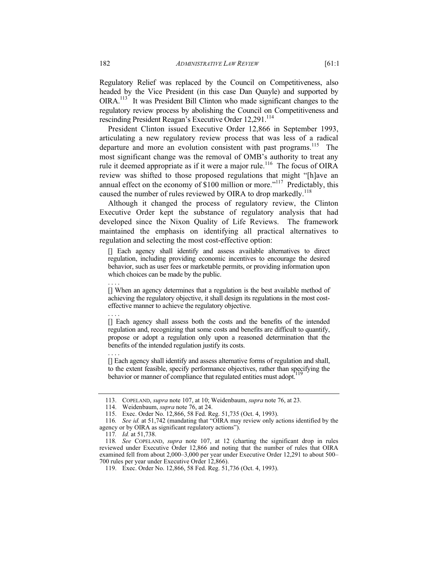Regulatory Relief was replaced by the Council on Competitiveness, also headed by the Vice President (in this case Dan Quayle) and supported by OIRA.113 It was President Bill Clinton who made significant changes to the regulatory review process by abolishing the Council on Competitiveness and rescinding President Reagan's Executive Order 12,291.<sup>114</sup>

President Clinton issued Executive Order 12,866 in September 1993, articulating a new regulatory review process that was less of a radical departure and more an evolution consistent with past programs.<sup>115</sup> The most significant change was the removal of OMB's authority to treat any rule it deemed appropriate as if it were a major rule.<sup>116</sup> The focus of OIRA review was shifted to those proposed regulations that might "[h]ave an annual effect on the economy of  $$100$  million or more."<sup>117</sup> Predictably, this caused the number of rules reviewed by OIRA to drop markedly.<sup>118</sup>

Although it changed the process of regulatory review, the Clinton Executive Order kept the substance of regulatory analysis that had developed since the Nixon Quality of Life Reviews. The framework maintained the emphasis on identifying all practical alternatives to regulation and selecting the most cost-effective option:

[] Each agency shall identify and assess available alternatives to direct regulation, including providing economic incentives to encourage the desired behavior, such as user fees or marketable permits, or providing information upon which choices can be made by the public.

[] When an agency determines that a regulation is the best available method of achieving the regulatory objective, it shall design its regulations in the most costeffective manner to achieve the regulatory objective.

. . . . [] Each agency shall assess both the costs and the benefits of the intended regulation and, recognizing that some costs and benefits are difficult to quantify, propose or adopt a regulation only upon a reasoned determination that the benefits of the intended regulation justify its costs.

[] Each agency shall identify and assess alternative forms of regulation and shall, to the extent feasible, specify performance objectives, rather than specifying the behavior or manner of compliance that regulated entities must adopt.

. . . .

. . . .

 <sup>113.</sup> COPELAND, *supra* note 107, at 10; Weidenbaum, *supra* note 76, at 23.

 <sup>114.</sup> Weidenbaum, *supra* note 76, at 24.

 <sup>115.</sup> Exec. Order No. 12,866, 58 Fed. Reg. 51,735 (Oct. 4, 1993).

<sup>116</sup>*. See id.* at 51,742 (mandating that "OIRA may review only actions identified by the agency or by OIRA as significant regulatory actions").

<sup>117</sup>*. Id.* at 51,738.

<sup>118</sup>*. See* COPELAND, *supra* note 107, at 12 (charting the significant drop in rules reviewed under Executive Order 12,866 and noting that the number of rules that OIRA examined fell from about 2,000–3,000 per year under Executive Order 12,291 to about 500– 700 rules per year under Executive Order 12,866).

 <sup>119.</sup> Exec. Order No. 12,866, 58 Fed. Reg. 51,736 (Oct. 4, 1993).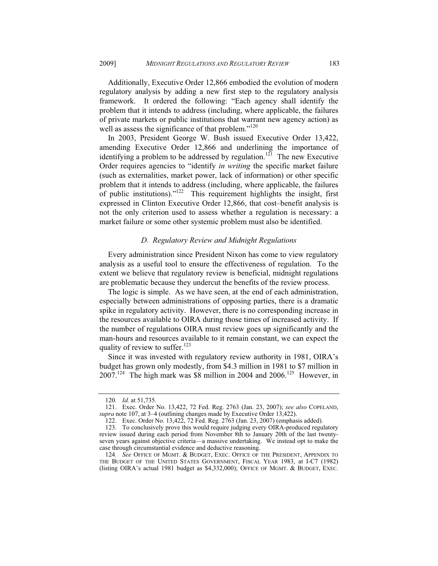Additionally, Executive Order 12,866 embodied the evolution of modern regulatory analysis by adding a new first step to the regulatory analysis framework. It ordered the following: "Each agency shall identify the problem that it intends to address (including, where applicable, the failures of private markets or public institutions that warrant new agency action) as well as assess the significance of that problem."<sup>120</sup>

In 2003, President George W. Bush issued Executive Order 13,422, amending Executive Order 12,866 and underlining the importance of identifying a problem to be addressed by regulation.<sup>121</sup> The new Executive Order requires agencies to "identify *in writing* the specific market failure (such as externalities, market power, lack of information) or other specific problem that it intends to address (including, where applicable, the failures of public institutions)."122 This requirement highlights the insight, first expressed in Clinton Executive Order 12,866, that cost–benefit analysis is not the only criterion used to assess whether a regulation is necessary: a market failure or some other systemic problem must also be identified.

# *D. Regulatory Review and Midnight Regulations*

Every administration since President Nixon has come to view regulatory analysis as a useful tool to ensure the effectiveness of regulation. To the extent we believe that regulatory review is beneficial, midnight regulations are problematic because they undercut the benefits of the review process.

The logic is simple. As we have seen, at the end of each administration, especially between administrations of opposing parties, there is a dramatic spike in regulatory activity. However, there is no corresponding increase in the resources available to OIRA during those times of increased activity. If the number of regulations OIRA must review goes up significantly and the man-hours and resources available to it remain constant, we can expect the quality of review to suffer. $123$ 

Since it was invested with regulatory review authority in 1981, OIRA's budget has grown only modestly, from \$4.3 million in 1981 to \$7 million in  $2007<sup>124</sup>$  The high mark was \$8 million in 2004 and 2006.<sup>125</sup> However, in

<sup>120</sup>*. Id.* at 51,735.

 <sup>121.</sup> Exec. Order No. 13,422, 72 Fed. Reg. 2763 (Jan. 23, 2007); *see also* COPELAND, *supra* note 107, at 3–4 (outlining changes made by Executive Order 13,422).

 <sup>122.</sup> Exec. Order No. 13,422, 72 Fed. Reg. 2763 (Jan. 23, 2007) (emphasis added).

 <sup>123.</sup> To conclusively prove this would require judging every OIRA-produced regulatory review issued during each period from November 8th to January 20th of the last twentyseven years against objective criteria—a massive undertaking. We instead opt to make the case through circumstantial evidence and deductive reasoning.

<sup>124.</sup> See OFFICE OF MGMT. & BUDGET, EXEC. OFFICE OF THE PRESIDENT, APPENDIX TO THE BUDGET OF THE UNITED STATES GOVERNMENT, FISCAL YEAR 1983, at I-C7 (1982) (listing OIRA's actual 1981 budget as \$4,332,000); OFFICE OF MGMT.&BUDGET, EXEC.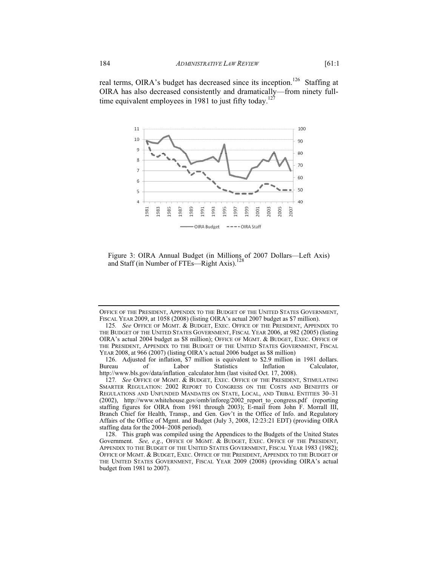

Figure 3: OIRA Annual Budget (in Millions of 2007 Dollars—Left Axis) and Staff (in Number of FTEs—Right Axis).<sup>128</sup>

OFFICE OF THE PRESIDENT, APPENDIX TO THE BUDGET OF THE UNITED STATES GOVERNMENT, FISCAL YEAR 2009, at 1058 (2008) (listing OIRA's actual 2007 budget as \$7 million).

<sup>125.</sup> See OFFICE OF MGMT. & BUDGET, EXEC. OFFICE OF THE PRESIDENT, APPENDIX TO THE BUDGET OF THE UNITED STATES GOVERNMENT, FISCAL YEAR 2006, at 982 (2005) (listing OIRA's actual 2004 budget as \$8 million); OFFICE OF MGMT.&BUDGET, EXEC. OFFICE OF THE PRESIDENT, APPENDIX TO THE BUDGET OF THE UNITED STATES GOVERNMENT, FISCAL YEAR 2008, at 966 (2007) (listing OIRA's actual 2006 budget as \$8 million)

 <sup>126.</sup> Adjusted for inflation, \$7 million is equivalent to \$2.9 million in 1981 dollars. Bureau of Labor Statistics Inflation Calculator, http://www.bls.gov/data/inflation\_calculator.htm (last visited Oct. 17, 2008).

<sup>127.</sup> See OFFICE OF MGMT. & BUDGET, EXEC. OFFICE OF THE PRESIDENT, STIMULATING SMARTER REGULATION: 2002 REPORT TO CONGRESS ON THE COSTS AND BENEFITS OF REGULATIONS AND UNFUNDED MANDATES ON STATE, LOCAL, AND TRIBAL ENTITIES 30–31 (2002), http://www.whitehouse.gov/omb/inforeg/2002\_report\_to\_congress.pdf (reporting staffing figures for OIRA from 1981 through 2003); E-mail from John F. Morrall III, Branch Chief for Health, Transp., and Gen. Gov't in the Office of Info. and Regulatory Affairs of the Office of Mgmt. and Budget (July 3, 2008, 12:23:21 EDT) (providing OIRA staffing data for the 2004–2008 period).

 <sup>128.</sup> This graph was compiled using the Appendices to the Budgets of the United States Government. *See, e.g.*, OFFICE OF MGMT. & BUDGET, EXEC. OFFICE OF THE PRESIDENT, APPENDIX TO THE BUDGET OF THE UNITED STATES GOVERNMENT, FISCAL YEAR 1983 (1982); OFFICE OF MGMT.&BUDGET, EXEC. OFFICE OF THE PRESIDENT, APPENDIX TO THE BUDGET OF THE UNITED STATES GOVERNMENT, FISCAL YEAR 2009 (2008) (providing OIRA's actual budget from 1981 to 2007).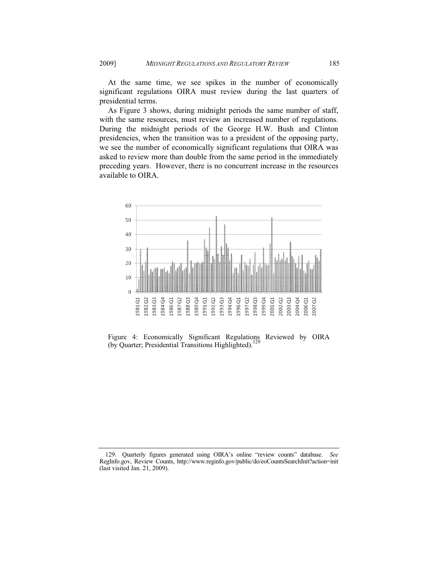At the same time, we see spikes in the number of economically significant regulations OIRA must review during the last quarters of presidential terms.

As Figure 3 shows, during midnight periods the same number of staff, with the same resources, must review an increased number of regulations. During the midnight periods of the George H.W. Bush and Clinton presidencies, when the transition was to a president of the opposing party, we see the number of economically significant regulations that OIRA was asked to review more than double from the same period in the immediately preceding years. However, there is no concurrent increase in the resources available to OIRA.



Figure 4: Economically Significant Regulations Reviewed by OIRA (by Quarter; Presidential Transitions Highlighted).<sup>1</sup>

 <sup>129.</sup> Quarterly figures generated using OIRA's online "review counts" database. *See*  RegInfo.gov, Review Counts, http://www.reginfo.gov/public/do/eoCountsSearchInit?action=init (last visited Jan. 21, 2009).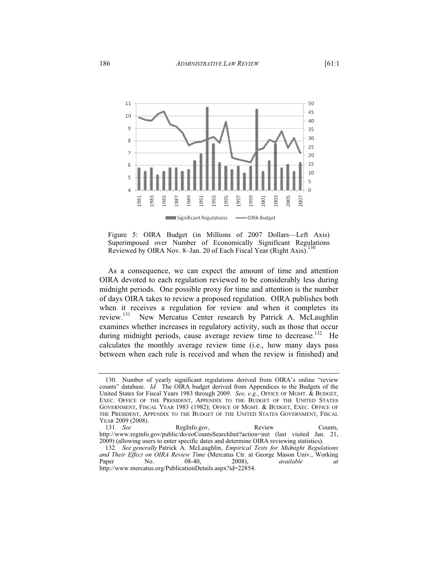

Figure 5: OIRA Budget (in Millions of 2007 Dollars—Left Axis) Superimposed over Number of Economically Significant Regulations Reviewed by OIRA Nov. 8–Jan. 20 of Each Fiscal Year (Right Axis).<sup>1</sup>

As a consequence, we can expect the amount of time and attention OIRA devoted to each regulation reviewed to be considerably less during midnight periods. One possible proxy for time and attention is the number of days OIRA takes to review a proposed regulation. OIRA publishes both when it receives a regulation for review and when it completes its review.131 New Mercatus Center research by Patrick A. McLaughlin examines whether increases in regulatory activity, such as those that occur during midnight periods, cause average review time to decrease.<sup>132</sup> He calculates the monthly average review time (i.e., how many days pass between when each rule is received and when the review is finished) and

 <sup>130.</sup> Number of yearly significant regulations derived from OIRA's online "review counts" database. *Id.* The OIRA budget derived from Appendices to the Budgets of the United States for Fiscal Years 1983 through 2009. *See, e.g.*, OFFICE OF MGMT. & BUDGET, EXEC. OFFICE OF THE PRESIDENT, APPENDIX TO THE BUDGET OF THE UNITED STATES GOVERNMENT, FISCAL YEAR 1983 (1982); OFFICE OF MGMT. & BUDGET, EXEC. OFFICE OF THE PRESIDENT, APPENDIX TO THE BUDGET OF THE UNITED STATES GOVERNMENT, FISCAL YEAR 2009 (2008).

<sup>131</sup>*. See* RegInfo.gov, Review Counts, http://www.reginfo.gov/public/do/eoCountsSearchInit?action=init (last visited Jan. 21, 2009) (allowing users to enter specific dates and determine OIRA reviewing statistics).

<sup>132</sup>*. See generally* Patrick A. McLaughlin, *Empirical Tests for Midnight Regulations and Their Effect on OIRA Review Time* (Mercatus Ctr. at George Mason Univ., Working Paper No. 08-40, 2008), *available at* http://www.mercatus.org/PublicationDetails.aspx?id=22854.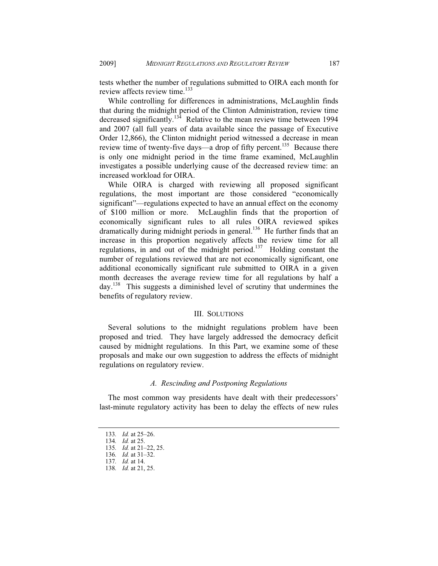tests whether the number of regulations submitted to OIRA each month for review affects review time.<sup>133</sup>

While controlling for differences in administrations, McLaughlin finds that during the midnight period of the Clinton Administration, review time decreased significantly.<sup>134</sup> Relative to the mean review time between 1994 and 2007 (all full years of data available since the passage of Executive Order 12,866), the Clinton midnight period witnessed a decrease in mean review time of twenty-five days—a drop of fifty percent.<sup>135</sup> Because there is only one midnight period in the time frame examined, McLaughlin investigates a possible underlying cause of the decreased review time: an increased workload for OIRA.

While OIRA is charged with reviewing all proposed significant regulations, the most important are those considered "economically significant"—regulations expected to have an annual effect on the economy of \$100 million or more. McLaughlin finds that the proportion of economically significant rules to all rules OIRA reviewed spikes dramatically during midnight periods in general.<sup>136</sup> He further finds that an increase in this proportion negatively affects the review time for all regulations, in and out of the midnight period.<sup>137</sup> Holding constant the number of regulations reviewed that are not economically significant, one additional economically significant rule submitted to OIRA in a given month decreases the average review time for all regulations by half a day.138 This suggests a diminished level of scrutiny that undermines the benefits of regulatory review.

# III. SOLUTIONS

Several solutions to the midnight regulations problem have been proposed and tried. They have largely addressed the democracy deficit caused by midnight regulations. In this Part, we examine some of these proposals and make our own suggestion to address the effects of midnight regulations on regulatory review.

# *A. Rescinding and Postponing Regulations*

The most common way presidents have dealt with their predecessors' last-minute regulatory activity has been to delay the effects of new rules

<sup>133</sup>*. Id.* at 25–26.

<sup>134</sup>*. Id.* at 25.

<sup>135</sup>*. Id.* at 21–22, 25.

<sup>136</sup>*. Id.* at 31–32.

<sup>137</sup>*. Id.* at 14.

<sup>138</sup>*. Id.* at 21, 25.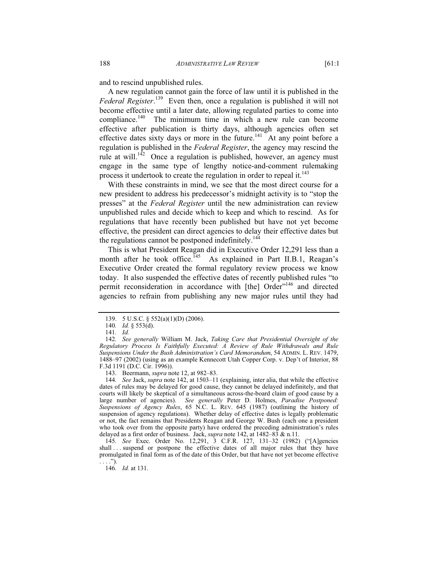and to rescind unpublished rules.

A new regulation cannot gain the force of law until it is published in the *Federal Register*. 139 Even then, once a regulation is published it will not become effective until a later date, allowing regulated parties to come into compliance.<sup>140</sup> The minimum time in which a new rule can become effective after publication is thirty days, although agencies often set effective dates sixty days or more in the future.<sup>141</sup> At any point before a regulation is published in the *Federal Register*, the agency may rescind the rule at will.<sup>142</sup> Once a regulation is published, however, an agency must engage in the same type of lengthy notice-and-comment rulemaking process it undertook to create the regulation in order to repeal it.<sup>143</sup>

With these constraints in mind, we see that the most direct course for a new president to address his predecessor's midnight activity is to "stop the presses" at the *Federal Register* until the new administration can review unpublished rules and decide which to keep and which to rescind. As for regulations that have recently been published but have not yet become effective, the president can direct agencies to delay their effective dates but the regulations cannot be postponed indefinitely.<sup>144</sup>

This is what President Reagan did in Executive Order 12,291 less than a month after he took office.<sup>145</sup> As explained in Part II.B.1, Reagan's Executive Order created the formal regulatory review process we know today. It also suspended the effective dates of recently published rules "to permit reconsideration in accordance with [the] Order"<sup>146</sup> and directed agencies to refrain from publishing any new major rules until they had

143. Beermann, *supra* note 12, at 982–83.

144*. See* Jack, *supra* note 142, at 1503–11 (explaining, inter alia, that while the effective dates of rules may be delayed for good cause, they cannot be delayed indefinitely, and that courts will likely be skeptical of a simultaneous across-the-board claim of good cause by a large number of agencies). *See generally* Peter D. Holmes, *Paradise Postponed: Suspensions of Agency Rules*, 65 N.C. L. REV. 645 (1987) (outlining the history of suspension of agency regulations). Whether delay of effective dates is legally problematic or not, the fact remains that Presidents Reagan and George W. Bush (each one a president who took over from the opposite party) have ordered the preceding administration's rules delayed as a first order of business. Jack, *supra* note 142, at 1482–83 & n.11.

145*. See* Exec. Order No. 12,291, 3 C.F.R. 127, 131–32 (1982) ("[A]gencies shall ... suspend or postpone the effective dates of all major rules that they have promulgated in final form as of the date of this Order, but that have not yet become effective  $\ldots$ .").

146*. Id.* at 131.

 <sup>139. 5</sup> U.S.C. § 552(a)(1)(D) (2006).

<sup>140</sup>*. Id.* § 553(d).

<sup>141</sup>*. Id.*

<sup>142</sup>*. See generally* William M. Jack, *Taking Care that Presidential Oversight of the Regulatory Process Is Faithfully Executed: A Review of Rule Withdrawals and Rule Suspensions Under the Bush Administration's Card Memorandum*, 54 ADMIN. L. REV. 1479, 1488–97 (2002) (using as an example Kennecott Utah Copper Corp. v. Dep't of Interior, 88 F.3d 1191 (D.C. Cir. 1996)).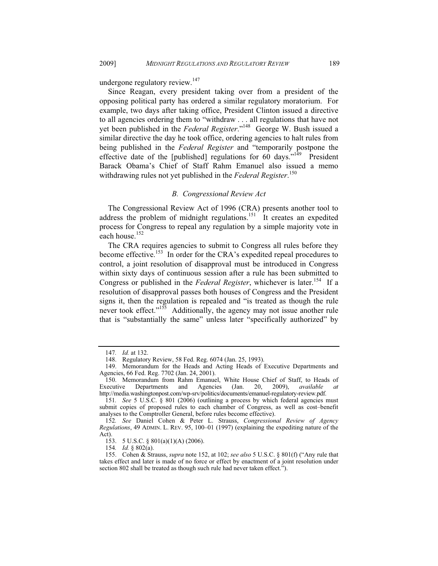undergone regulatory review.<sup>147</sup>

Since Reagan, every president taking over from a president of the opposing political party has ordered a similar regulatory moratorium. For example, two days after taking office, President Clinton issued a directive to all agencies ordering them to "withdraw . . . all regulations that have not yet been published in the *Federal Register*."148 George W. Bush issued a similar directive the day he took office, ordering agencies to halt rules from being published in the *Federal Register* and "temporarily postpone the effective date of the [published] regulations for 60 days."<sup>149</sup> President Barack Obama's Chief of Staff Rahm Emanuel also issued a memo withdrawing rules not yet published in the *Federal Register*. 150

## *B. Congressional Review Act*

The Congressional Review Act of 1996 (CRA) presents another tool to address the problem of midnight regulations.<sup>151</sup> It creates an expedited process for Congress to repeal any regulation by a simple majority vote in each house.<sup>152</sup>

The CRA requires agencies to submit to Congress all rules before they become effective.<sup>153</sup> In order for the CRA's expedited repeal procedures to control, a joint resolution of disapproval must be introduced in Congress within sixty days of continuous session after a rule has been submitted to Congress or published in the *Federal Register*, whichever is later.<sup>154</sup> If a resolution of disapproval passes both houses of Congress and the President signs it, then the regulation is repealed and "is treated as though the rule never took effect."<sup>155</sup> Additionally, the agency may not issue another rule that is "substantially the same" unless later "specifically authorized" by

<sup>147</sup>*. Id.* at 132.

 <sup>148.</sup> Regulatory Review, 58 Fed. Reg. 6074 (Jan. 25, 1993).

 <sup>149.</sup> Memorandum for the Heads and Acting Heads of Executive Departments and Agencies, 66 Fed. Reg. 7702 (Jan. 24, 2001).

 <sup>150.</sup> Memorandum from Rahm Emanuel, White House Chief of Staff, to Heads of Executive Departments and Agencies (Jan. 20, 2009), *available at*  http://media.washingtonpost.com/wp-srv/politics/documents/emanuel-regulatory-review.pdf.

<sup>151</sup>*. See* 5 U.S.C. § 801 (2006) (outlining a process by which federal agencies must submit copies of proposed rules to each chamber of Congress, as well as cost–benefit analyses to the Comptroller General, before rules become effective).

<sup>152</sup>*. See* Daniel Cohen & Peter L. Strauss, *Congressional Review of Agency Regulations*, 49 ADMIN. L. REV. 95, 100–01 (1997) (explaining the expediting nature of the Act).

 <sup>153. 5</sup> U.S.C. § 801(a)(1)(A) (2006).

<sup>154</sup>*. Id.* § 802(a).

 <sup>155.</sup> Cohen & Strauss, *supra* note 152, at 102; *see also* 5 U.S.C. § 801(f) ("Any rule that takes effect and later is made of no force or effect by enactment of a joint resolution under section 802 shall be treated as though such rule had never taken effect.").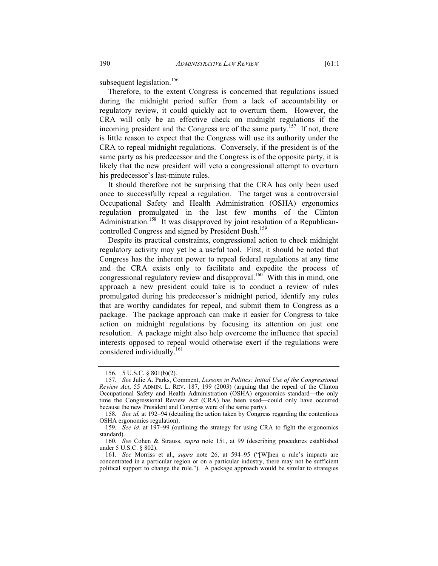subsequent legislation.<sup>156</sup>

Therefore, to the extent Congress is concerned that regulations issued during the midnight period suffer from a lack of accountability or regulatory review, it could quickly act to overturn them. However, the CRA will only be an effective check on midnight regulations if the incoming president and the Congress are of the same party.<sup>157</sup> If not, there is little reason to expect that the Congress will use its authority under the CRA to repeal midnight regulations. Conversely, if the president is of the same party as his predecessor and the Congress is of the opposite party, it is likely that the new president will veto a congressional attempt to overturn his predecessor's last-minute rules.

It should therefore not be surprising that the CRA has only been used once to successfully repeal a regulation. The target was a controversial Occupational Safety and Health Administration (OSHA) ergonomics regulation promulgated in the last few months of the Clinton Administration.<sup>158</sup> It was disapproved by joint resolution of a Republicancontrolled Congress and signed by President Bush.<sup>159</sup>

Despite its practical constraints, congressional action to check midnight regulatory activity may yet be a useful tool. First, it should be noted that Congress has the inherent power to repeal federal regulations at any time and the CRA exists only to facilitate and expedite the process of congressional regulatory review and disapproval.<sup>160</sup> With this in mind, one approach a new president could take is to conduct a review of rules promulgated during his predecessor's midnight period, identify any rules that are worthy candidates for repeal, and submit them to Congress as a package. The package approach can make it easier for Congress to take action on midnight regulations by focusing its attention on just one resolution. A package might also help overcome the influence that special interests opposed to repeal would otherwise exert if the regulations were considered individually.<sup>161</sup>

 <sup>156. 5</sup> U.S.C. § 801(b)(2).

<sup>157</sup>*. See* Julie A. Parks, Comment, *Lessons in Politics: Initial Use of the Congressional Review Act*, 55 ADMIN. L. REV. 187, 199 (2003) (arguing that the repeal of the Clinton Occupational Safety and Health Administration (OSHA) ergonomics standard—the only time the Congressional Review Act (CRA) has been used—could only have occurred because the new President and Congress were of the same party).

<sup>158</sup>*. See id.* at 192–94 (detailing the action taken by Congress regarding the contentious OSHA ergonomics regulation).

<sup>159</sup>*. See id.* at 197–99 (outlining the strategy for using CRA to fight the ergonomics standard).

<sup>160</sup>*. See* Cohen & Strauss, *supra* note 151, at 99 (describing procedures established under 5 U.S.C. § 802).

<sup>161</sup>*. See* Morriss et al., *supra* note 26, at 594–95 ("[W]hen a rule's impacts are concentrated in a particular region or on a particular industry, there may not be sufficient political support to change the rule."). A package approach would be similar to strategies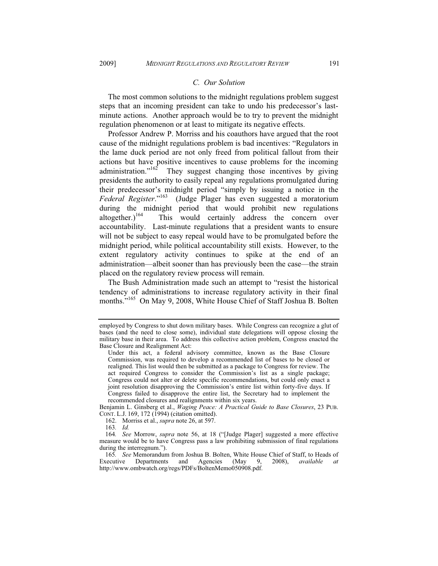# *C. Our Solution*

The most common solutions to the midnight regulations problem suggest steps that an incoming president can take to undo his predecessor's lastminute actions. Another approach would be to try to prevent the midnight regulation phenomenon or at least to mitigate its negative effects.

Professor Andrew P. Morriss and his coauthors have argued that the root cause of the midnight regulations problem is bad incentives: "Regulators in the lame duck period are not only freed from political fallout from their actions but have positive incentives to cause problems for the incoming administration." $162$  They suggest changing those incentives by giving presidents the authority to easily repeal any regulations promulgated during their predecessor's midnight period "simply by issuing a notice in the *Federal Register*."163 (Judge Plager has even suggested a moratorium during the midnight period that would prohibit new regulations altogether.)<sup>164</sup> This would certainly address the concern over accountability. Last-minute regulations that a president wants to ensure will not be subject to easy repeal would have to be promulgated before the midnight period, while political accountability still exists. However, to the extent regulatory activity continues to spike at the end of an administration—albeit sooner than has previously been the case—the strain placed on the regulatory review process will remain.

The Bush Administration made such an attempt to "resist the historical tendency of administrations to increase regulatory activity in their final months."<sup>165</sup> On May 9, 2008, White House Chief of Staff Joshua B. Bolten

Benjamin L. Ginsberg et al., *Waging Peace: A Practical Guide to Base Closures*, 23 PUB. CONT. L.J. 169, 172 (1994) (citation omitted).

162. Morriss et al., *supra* note 26, at 597.

employed by Congress to shut down military bases. While Congress can recognize a glut of bases (and the need to close some), individual state delegations will oppose closing the military base in their area. To address this collective action problem, Congress enacted the Base Closure and Realignment Act:

Under this act, a federal advisory committee, known as the Base Closure Commission, was required to develop a recommended list of bases to be closed or realigned. This list would then be submitted as a package to Congress for review. The act required Congress to consider the Commission's list as a single package; Congress could not alter or delete specific recommendations, but could only enact a joint resolution disapproving the Commission's entire list within forty-five days. If Congress failed to disapprove the entire list, the Secretary had to implement the recommended closures and realignments within six years.

<sup>163</sup>*. Id.*

<sup>164</sup>*. See* Morrow, *supra* note 56, at 18 ("[Judge Plager] suggested a more effective measure would be to have Congress pass a law prohibiting submission of final regulations during the interregnum.").

<sup>165</sup>*. See* Memorandum from Joshua B. Bolten, White House Chief of Staff, to Heads of Executive Departments and Agencies (May 9, 2008), *available at* http://www.ombwatch.org/regs/PDFs/BoltenMemo050908.pdf.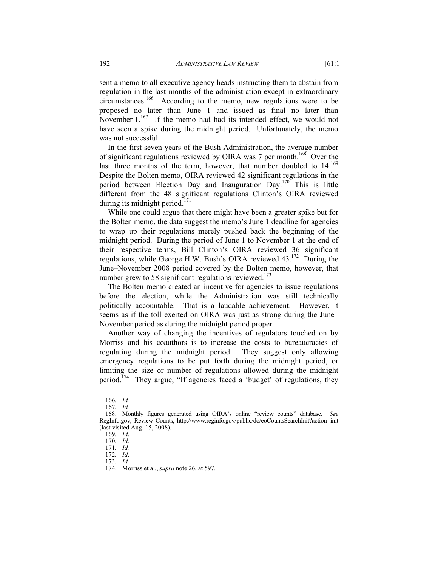sent a memo to all executive agency heads instructing them to abstain from regulation in the last months of the administration except in extraordinary circumstances.166 According to the memo, new regulations were to be proposed no later than June 1 and issued as final no later than November  $1.^{167}$  If the memo had had its intended effect, we would not have seen a spike during the midnight period. Unfortunately, the memo was not successful.

In the first seven years of the Bush Administration, the average number of significant regulations reviewed by OIRA was 7 per month.<sup>168</sup> Over the last three months of the term, however, that number doubled to 14.<sup>169</sup> Despite the Bolten memo, OIRA reviewed 42 significant regulations in the period between Election Day and Inauguration Day.<sup>170</sup> This is little different from the 48 significant regulations Clinton's OIRA reviewed during its midnight period.<sup>171</sup>

While one could argue that there might have been a greater spike but for the Bolten memo, the data suggest the memo's June 1 deadline for agencies to wrap up their regulations merely pushed back the beginning of the midnight period. During the period of June 1 to November 1 at the end of their respective terms, Bill Clinton's OIRA reviewed 36 significant regulations, while George H.W. Bush's OIRA reviewed 43.<sup>172</sup> During the June–November 2008 period covered by the Bolten memo, however, that number grew to 58 significant regulations reviewed.<sup>173</sup>

The Bolten memo created an incentive for agencies to issue regulations before the election, while the Administration was still technically politically accountable. That is a laudable achievement. However, it seems as if the toll exerted on OIRA was just as strong during the June– November period as during the midnight period proper.

Another way of changing the incentives of regulators touched on by Morriss and his coauthors is to increase the costs to bureaucracies of regulating during the midnight period. They suggest only allowing emergency regulations to be put forth during the midnight period, or limiting the size or number of regulations allowed during the midnight period.<sup>174</sup> They argue, "If agencies faced a 'budget' of regulations, they

<sup>166</sup>*. Id.* 

<sup>167</sup>*. Id.*

 <sup>168.</sup> Monthly figures generated using OIRA's online "review counts" database. *See* RegInfo.gov, Review Counts, http://www.reginfo.gov/public/do/eoCountsSearchInit?action=init (last visited Aug. 15, 2008).

<sup>169</sup>*. Id*.

<sup>170</sup>*. Id*. 171*. Id.* 

<sup>172</sup>*. Id*.

<sup>173</sup>*. Id.* 

 <sup>174.</sup> Morriss et al., *supra* note 26, at 597.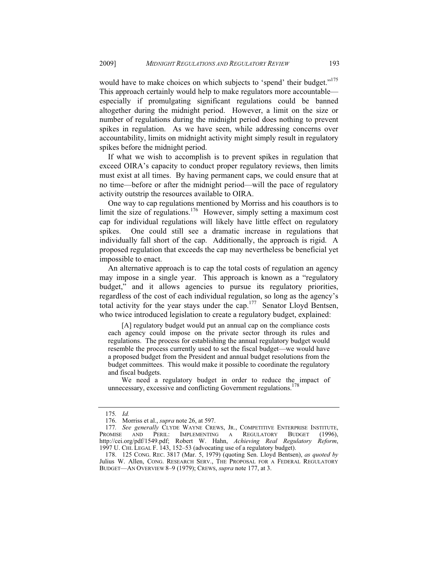would have to make choices on which subjects to 'spend' their budget."<sup>175</sup> This approach certainly would help to make regulators more accountable especially if promulgating significant regulations could be banned altogether during the midnight period. However, a limit on the size or number of regulations during the midnight period does nothing to prevent spikes in regulation. As we have seen, while addressing concerns over accountability, limits on midnight activity might simply result in regulatory spikes before the midnight period.

If what we wish to accomplish is to prevent spikes in regulation that exceed OIRA's capacity to conduct proper regulatory reviews, then limits must exist at all times. By having permanent caps, we could ensure that at no time—before or after the midnight period—will the pace of regulatory activity outstrip the resources available to OIRA.

One way to cap regulations mentioned by Morriss and his coauthors is to limit the size of regulations.<sup>176</sup> However, simply setting a maximum cost cap for individual regulations will likely have little effect on regulatory spikes. One could still see a dramatic increase in regulations that individually fall short of the cap. Additionally, the approach is rigid. A proposed regulation that exceeds the cap may nevertheless be beneficial yet impossible to enact.

An alternative approach is to cap the total costs of regulation an agency may impose in a single year. This approach is known as a "regulatory budget," and it allows agencies to pursue its regulatory priorities, regardless of the cost of each individual regulation, so long as the agency's total activity for the year stays under the cap.<sup>177</sup> Senator Lloyd Bentsen, who twice introduced legislation to create a regulatory budget, explained:

 [A] regulatory budget would put an annual cap on the compliance costs each agency could impose on the private sector through its rules and regulations. The process for establishing the annual regulatory budget would resemble the process currently used to set the fiscal budget—we would have a proposed budget from the President and annual budget resolutions from the budget committees. This would make it possible to coordinate the regulatory and fiscal budgets.

 We need a regulatory budget in order to reduce the impact of unnecessary, excessive and conflicting Government regulations.<sup>178</sup>

<sup>175</sup>*. Id.*

 <sup>176.</sup> Morriss et al., *supra* note 26, at 597.

<sup>177</sup>*. See generally* CLYDE WAYNE CREWS, JR., COMPETITIVE ENTERPRISE INSTITUTE, PROMISE AND PERIL: IMPLEMENTING A REGULATORY BUDGET (1996). IMPLEMENTING A REGULATORY BUDGET (1996), http://cei.org/pdf/1549.pdf; Robert W. Hahn, *Achieving Real Regulatory Reform*, 1997 U. CHI. LEGAL F. 143, 152–53 (advocating use of a regulatory budget).

 <sup>178. 125</sup> CONG. REC. 3817 (Mar. 5, 1979) (quoting Sen. Lloyd Bentsen), *as quoted by*  Julius W. Allen, CONG. RESEARCH SERV., THE PROPOSAL FOR A FEDERAL REGULATORY BUDGET—AN OVERVIEW 8–9 (1979); CREWS, *supra* note 177, at 3.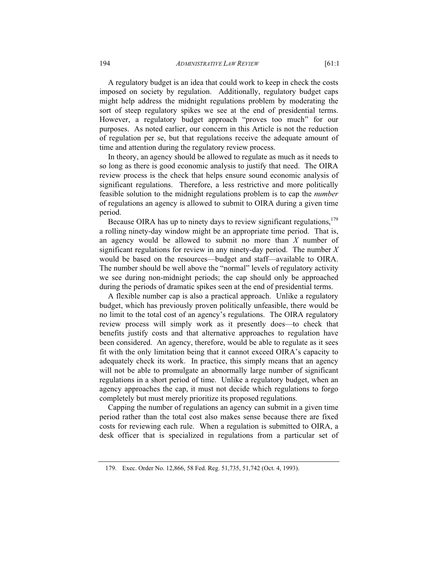A regulatory budget is an idea that could work to keep in check the costs imposed on society by regulation. Additionally, regulatory budget caps might help address the midnight regulations problem by moderating the sort of steep regulatory spikes we see at the end of presidential terms. However, a regulatory budget approach "proves too much" for our purposes. As noted earlier, our concern in this Article is not the reduction of regulation per se, but that regulations receive the adequate amount of time and attention during the regulatory review process.

In theory, an agency should be allowed to regulate as much as it needs to so long as there is good economic analysis to justify that need. The OIRA review process is the check that helps ensure sound economic analysis of significant regulations. Therefore, a less restrictive and more politically feasible solution to the midnight regulations problem is to cap the *number* of regulations an agency is allowed to submit to OIRA during a given time period.

Because OIRA has up to ninety days to review significant regulations, $179$ a rolling ninety-day window might be an appropriate time period. That is, an agency would be allowed to submit no more than *X* number of significant regulations for review in any ninety-day period. The number *X* would be based on the resources—budget and staff—available to OIRA. The number should be well above the "normal" levels of regulatory activity we see during non-midnight periods; the cap should only be approached during the periods of dramatic spikes seen at the end of presidential terms.

A flexible number cap is also a practical approach. Unlike a regulatory budget, which has previously proven politically unfeasible, there would be no limit to the total cost of an agency's regulations. The OIRA regulatory review process will simply work as it presently does—to check that benefits justify costs and that alternative approaches to regulation have been considered. An agency, therefore, would be able to regulate as it sees fit with the only limitation being that it cannot exceed OIRA's capacity to adequately check its work. In practice, this simply means that an agency will not be able to promulgate an abnormally large number of significant regulations in a short period of time. Unlike a regulatory budget, when an agency approaches the cap, it must not decide which regulations to forgo completely but must merely prioritize its proposed regulations.

Capping the number of regulations an agency can submit in a given time period rather than the total cost also makes sense because there are fixed costs for reviewing each rule. When a regulation is submitted to OIRA, a desk officer that is specialized in regulations from a particular set of

 <sup>179.</sup> Exec. Order No. 12,866, 58 Fed. Reg. 51,735, 51,742 (Oct. 4, 1993).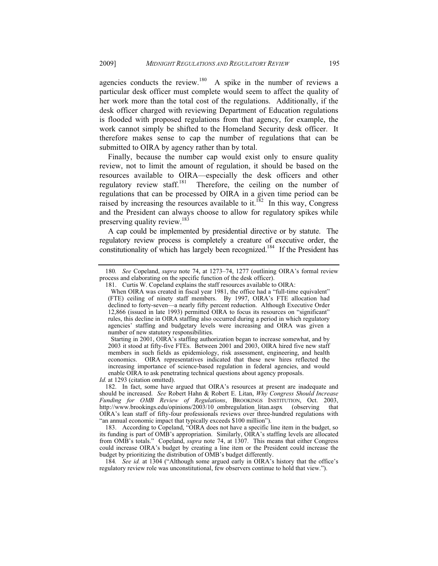agencies conducts the review.<sup>180</sup> A spike in the number of reviews a particular desk officer must complete would seem to affect the quality of her work more than the total cost of the regulations. Additionally, if the desk officer charged with reviewing Department of Education regulations is flooded with proposed regulations from that agency, for example, the work cannot simply be shifted to the Homeland Security desk officer. It therefore makes sense to cap the number of regulations that can be submitted to OIRA by agency rather than by total.

Finally, because the number cap would exist only to ensure quality review, not to limit the amount of regulation, it should be based on the resources available to OIRA—especially the desk officers and other regulatory review staff.<sup>181</sup> Therefore, the ceiling on the number of regulations that can be processed by OIRA in a given time period can be raised by increasing the resources available to it.<sup>182</sup> In this way, Congress and the President can always choose to allow for regulatory spikes while preserving quality review.<sup>183</sup>

A cap could be implemented by presidential directive or by statute. The regulatory review process is completely a creature of executive order, the constitutionality of which has largely been recognized.<sup>184</sup> If the President has

*Id.* at 1293 (citation omitted).

<sup>180</sup>*. See* Copeland, *supra* note 74, at 1273–74, 1277 (outlining OIRA's formal review process and elaborating on the specific function of the desk officer).

 <sup>181.</sup> Curtis W. Copeland explains the staff resources available to OIRA:

When OIRA was created in fiscal year 1981, the office had a "full-time equivalent" (FTE) ceiling of ninety staff members. By 1997, OIRA's FTE allocation had declined to forty-seven—a nearly fifty percent reduction. Although Executive Order 12,866 (issued in late 1993) permitted OIRA to focus its resources on "significant" rules, this decline in OIRA staffing also occurred during a period in which regulatory agencies' staffing and budgetary levels were increasing and OIRA was given a number of new statutory responsibilities.

Starting in 2001, OIRA's staffing authorization began to increase somewhat, and by 2003 it stood at fifty-five FTEs. Between 2001 and 2003, OIRA hired five new staff members in such fields as epidemiology, risk assessment, engineering, and health economics. OIRA representatives indicated that these new hires reflected the increasing importance of science-based regulation in federal agencies, and would enable OIRA to ask penetrating technical questions about agency proposals.

 <sup>182.</sup> In fact, some have argued that OIRA's resources at present are inadequate and should be increased. *See* Robert Hahn & Robert E. Litan, *Why Congress Should Increase Funding for OMB Review of Regulations*, BROOKINGS INSTITUTION, Oct. 2003, http://www.brookings.edu/opinions/2003/10\_ombregulation\_litan.aspx (observing that OIRA's lean staff of fifty-four professionals reviews over three-hundred regulations with "an annual economic impact that typically exceeds \$100 million").

 <sup>183.</sup> According to Copeland, "OIRA does not have a specific line item in the budget, so its funding is part of OMB's appropriation. Similarly, OIRA's staffing levels are allocated from OMB's totals." Copeland, *supra* note 74, at 1307. This means that either Congress could increase OIRA's budget by creating a line item or the President could increase the budget by prioritizing the distribution of OMB's budget differently.

<sup>184</sup>*. See id.* at 1304 ("Although some argued early in OIRA's history that the office's regulatory review role was unconstitutional, few observers continue to hold that view.").